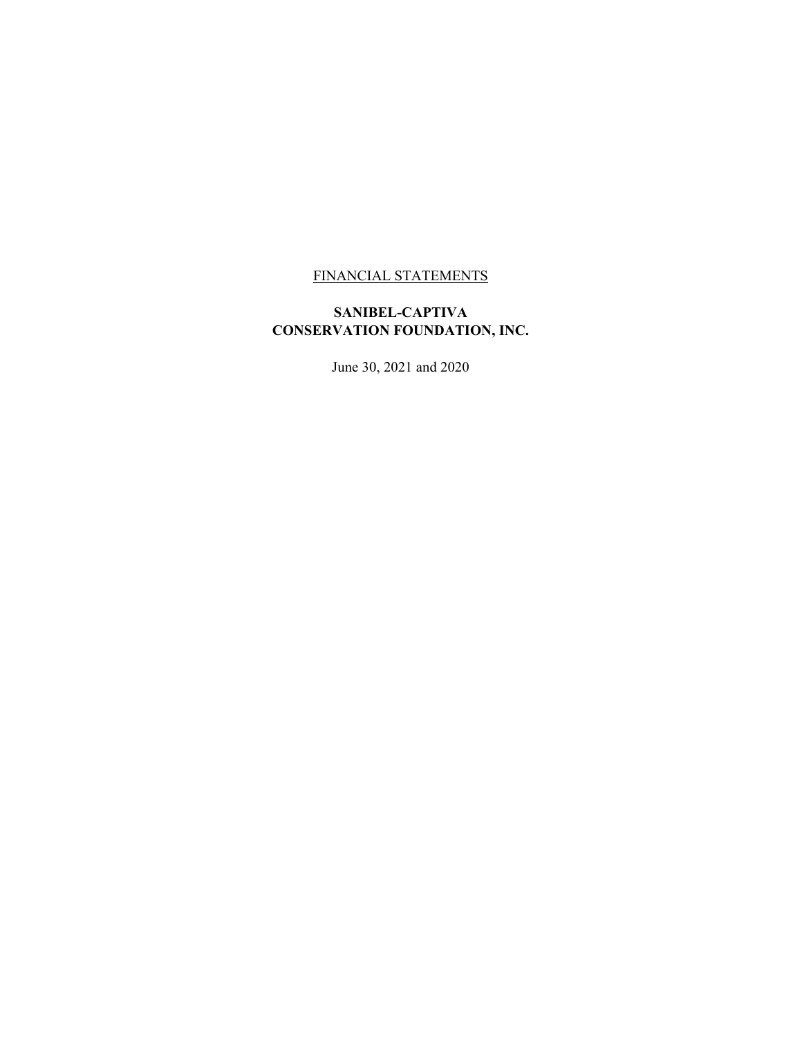# FINANCIAL STATEMENTS

## **SANIBEL-CAPTIVA CONSERVATION FOUNDATION, INC.**

June 30, 2021 and 2020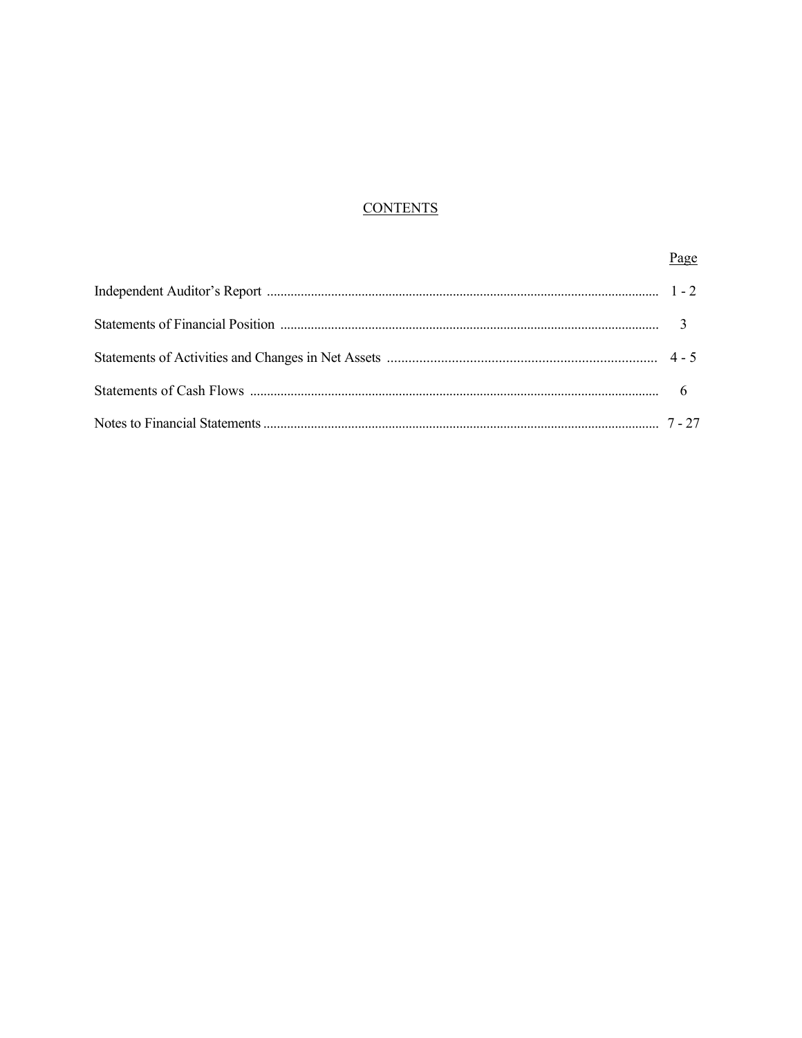# **CONTENTS**

## Page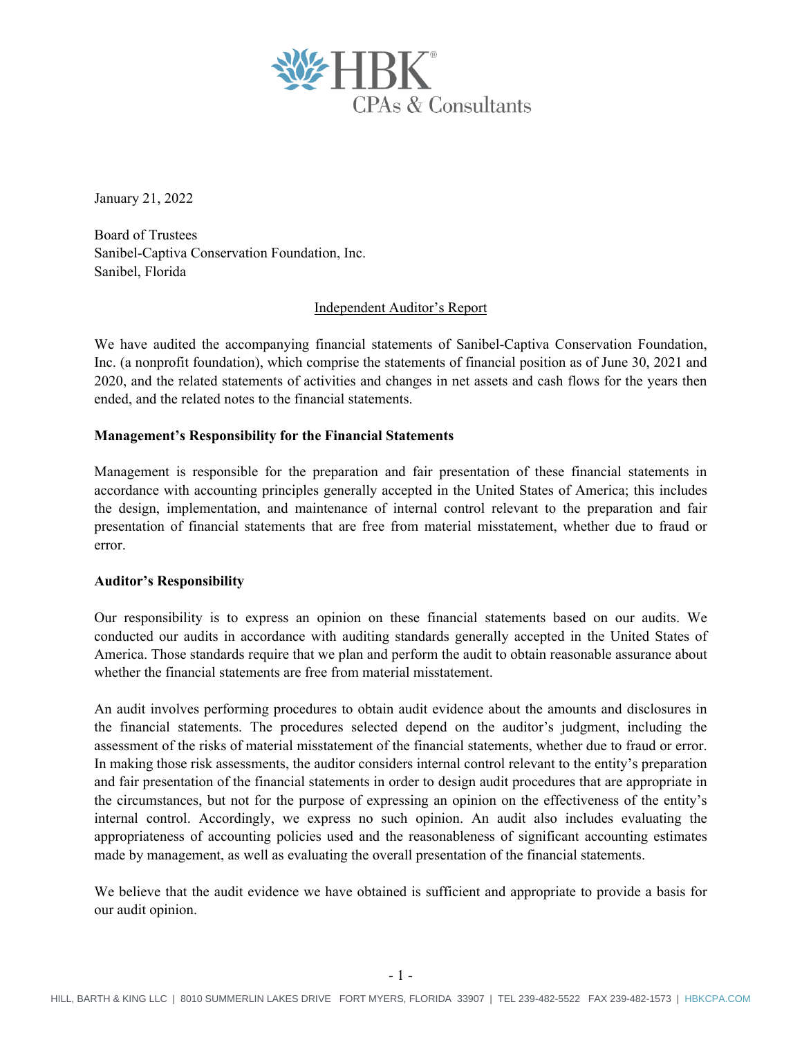

January 21, 2022

Board of Trustees Sanibel-Captiva Conservation Foundation, Inc. Sanibel, Florida

### Independent Auditor's Report

We have audited the accompanying financial statements of Sanibel-Captiva Conservation Foundation, Inc. (a nonprofit foundation), which comprise the statements of financial position as of June 30, 2021 and 2020, and the related statements of activities and changes in net assets and cash flows for the years then ended, and the related notes to the financial statements.

### **Management's Responsibility for the Financial Statements**

Management is responsible for the preparation and fair presentation of these financial statements in accordance with accounting principles generally accepted in the United States of America; this includes the design, implementation, and maintenance of internal control relevant to the preparation and fair presentation of financial statements that are free from material misstatement, whether due to fraud or error.

### **Auditor's Responsibility**

Our responsibility is to express an opinion on these financial statements based on our audits. We conducted our audits in accordance with auditing standards generally accepted in the United States of America. Those standards require that we plan and perform the audit to obtain reasonable assurance about whether the financial statements are free from material misstatement.

An audit involves performing procedures to obtain audit evidence about the amounts and disclosures in the financial statements. The procedures selected depend on the auditor's judgment, including the assessment of the risks of material misstatement of the financial statements, whether due to fraud or error. In making those risk assessments, the auditor considers internal control relevant to the entity's preparation and fair presentation of the financial statements in order to design audit procedures that are appropriate in the circumstances, but not for the purpose of expressing an opinion on the effectiveness of the entity's internal control. Accordingly, we express no such opinion. An audit also includes evaluating the appropriateness of accounting policies used and the reasonableness of significant accounting estimates made by management, as well as evaluating the overall presentation of the financial statements.

We believe that the audit evidence we have obtained is sufficient and appropriate to provide a basis for our audit opinion.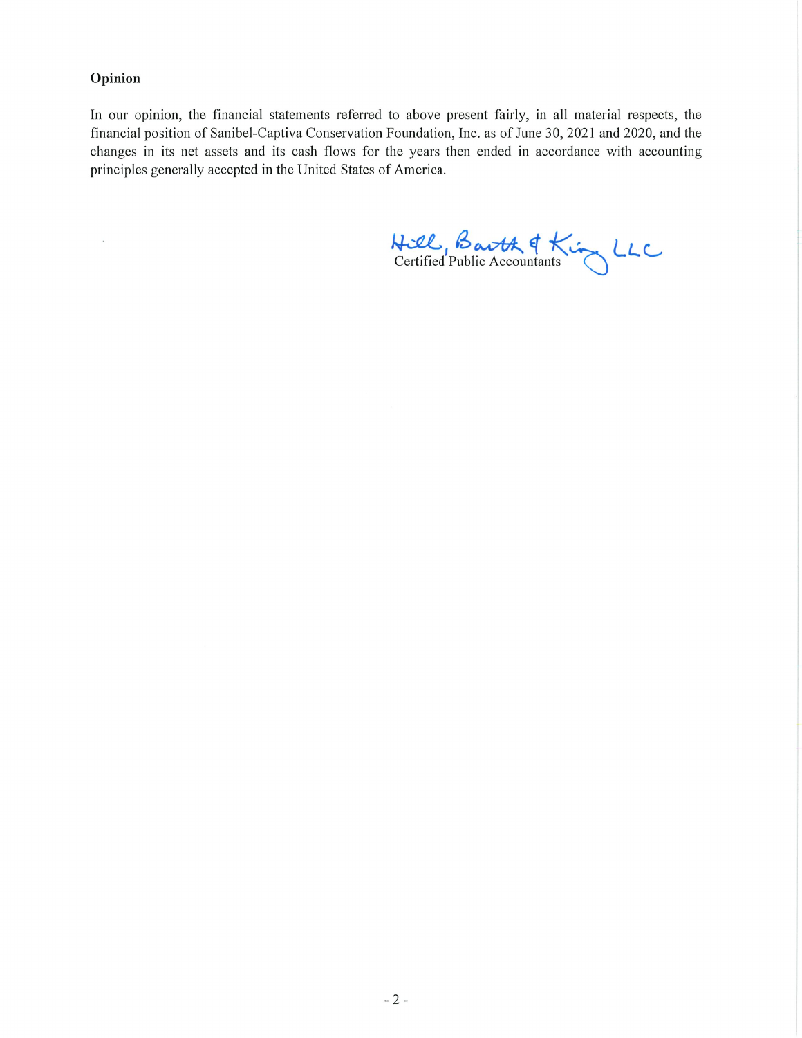#### Opinion

 $\sim$ 

In our opinion, the financial statements referred to above present fairly, in all material respects, the financial position of Sanibel-Captiva Conservation Foundation, Inc. as of June 30, 2021 and 2020, and the changes in its net assets and its cash flows for the years then ended in accordance with accounting principles generally accepted in the United States of America.

Hill, Barth & King LLC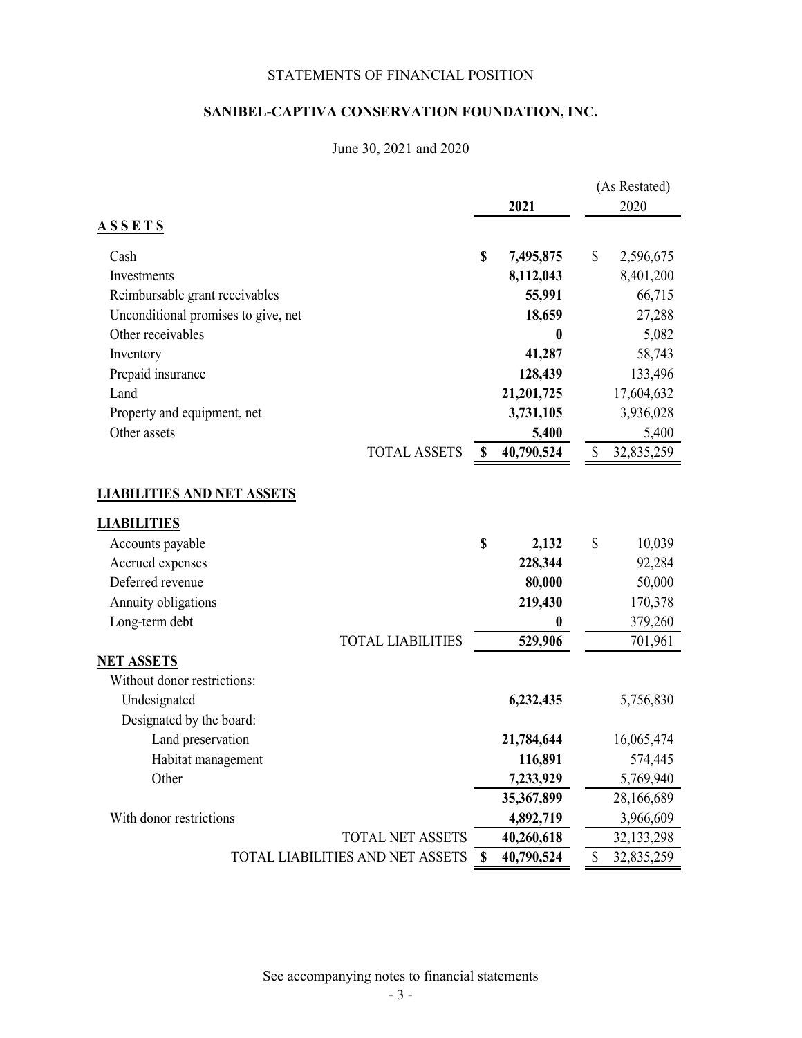# STATEMENTS OF FINANCIAL POSITION

# **SANIBEL-CAPTIVA CONSERVATION FOUNDATION, INC.**

## June 30, 2021 and 2020

|                                                         |                                  |                           | 2021       | (As Restated)<br>2020 |
|---------------------------------------------------------|----------------------------------|---------------------------|------------|-----------------------|
| <u>ASSETS</u>                                           |                                  |                           |            |                       |
| Cash                                                    |                                  | \$                        | 7,495,875  | \$<br>2,596,675       |
| Investments                                             |                                  |                           | 8,112,043  | 8,401,200             |
| Reimbursable grant receivables                          |                                  |                           | 55,991     | 66,715                |
| Unconditional promises to give, net                     |                                  |                           | 18,659     | 27,288                |
| Other receivables                                       |                                  |                           | 0          | 5,082                 |
| Inventory                                               |                                  |                           | 41,287     | 58,743                |
| Prepaid insurance                                       |                                  |                           | 128,439    | 133,496               |
| Land                                                    |                                  |                           | 21,201,725 | 17,604,632            |
| Property and equipment, net                             |                                  |                           | 3,731,105  | 3,936,028             |
| Other assets                                            |                                  |                           | 5,400      | 5,400                 |
|                                                         | <b>TOTAL ASSETS</b>              | \$                        | 40,790,524 | \$<br>32,835,259      |
| <b>LIABILITIES AND NET ASSETS</b><br><b>LIABILITIES</b> |                                  |                           |            |                       |
| Accounts payable                                        |                                  | \$                        | 2,132      | \$<br>10,039          |
| Accrued expenses                                        |                                  |                           | 228,344    | 92,284                |
| Deferred revenue                                        |                                  |                           | 80,000     | 50,000                |
| Annuity obligations                                     |                                  |                           | 219,430    | 170,378               |
| Long-term debt                                          |                                  |                           | 0          | 379,260               |
|                                                         | <b>TOTAL LIABILITIES</b>         |                           | 529,906    | 701,961               |
| <b>NET ASSETS</b>                                       |                                  |                           |            |                       |
| Without donor restrictions:                             |                                  |                           |            |                       |
| Undesignated                                            |                                  |                           | 6,232,435  | 5,756,830             |
| Designated by the board:                                |                                  |                           |            |                       |
| Land preservation                                       |                                  |                           | 21,784,644 | 16,065,474            |
| Habitat management                                      |                                  |                           | 116,891    | 574,445               |
| Other                                                   |                                  |                           | 7,233,929  | 5,769,940             |
|                                                         |                                  |                           | 35,367,899 | 28,166,689            |
| With donor restrictions                                 |                                  |                           | 4,892,719  | 3,966,609             |
|                                                         | <b>TOTAL NET ASSETS</b>          |                           | 40,260,618 | 32,133,298            |
|                                                         | TOTAL LIABILITIES AND NET ASSETS | $\boldsymbol{\mathsf{S}}$ | 40,790,524 | \$<br>32,835,259      |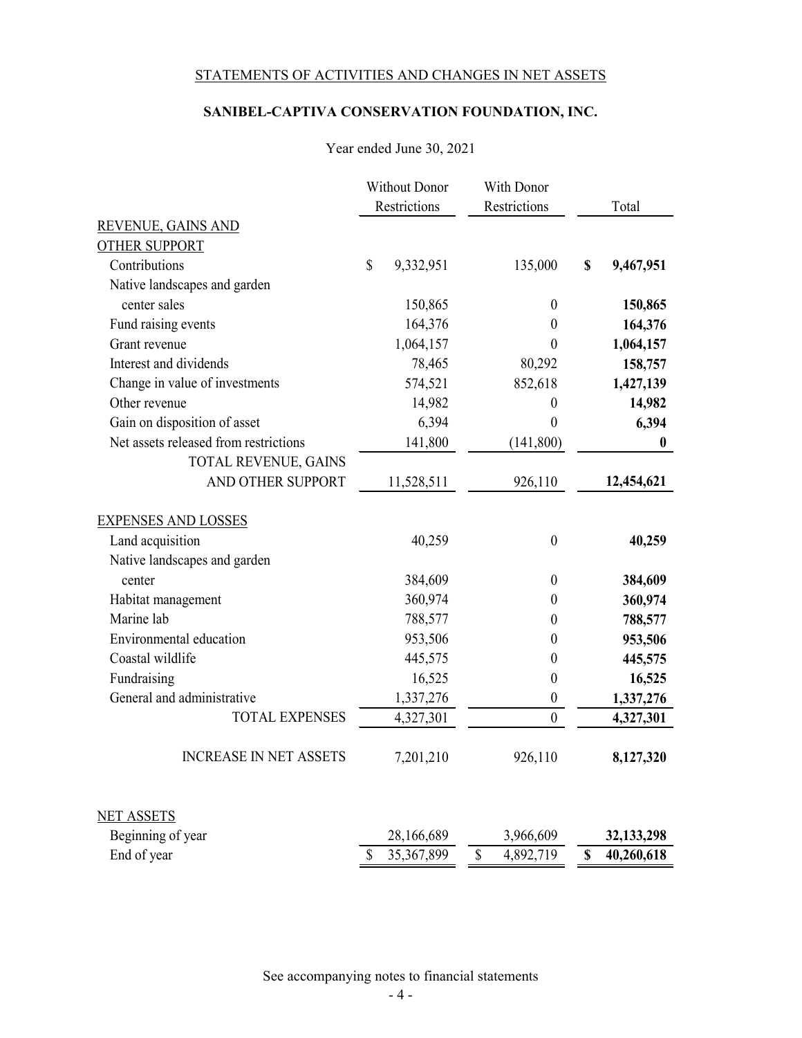# STATEMENTS OF ACTIVITIES AND CHANGES IN NET ASSETS

# **SANIBEL-CAPTIVA CONSERVATION FOUNDATION, INC.**

|                                       | <b>Without Donor</b><br>Restrictions |            | With Donor<br>Restrictions | Total            |
|---------------------------------------|--------------------------------------|------------|----------------------------|------------------|
| <b>REVENUE, GAINS AND</b>             |                                      |            |                            |                  |
| <b>OTHER SUPPORT</b>                  |                                      |            |                            |                  |
| Contributions                         | \$                                   | 9,332,951  | 135,000                    | \$<br>9,467,951  |
| Native landscapes and garden          |                                      |            |                            |                  |
| center sales                          |                                      | 150,865    | $\theta$                   | 150,865          |
| Fund raising events                   |                                      | 164,376    | $\boldsymbol{0}$           | 164,376          |
| Grant revenue                         |                                      | 1,064,157  | $\boldsymbol{0}$           | 1,064,157        |
| Interest and dividends                |                                      | 78,465     | 80,292                     | 158,757          |
| Change in value of investments        |                                      | 574,521    | 852,618                    | 1,427,139        |
| Other revenue                         |                                      | 14,982     | $\theta$                   | 14,982           |
| Gain on disposition of asset          |                                      | 6,394      | $\overline{0}$             | 6,394            |
| Net assets released from restrictions |                                      | 141,800    | (141,800)                  | $\boldsymbol{0}$ |
| TOTAL REVENUE, GAINS                  |                                      |            |                            |                  |
| AND OTHER SUPPORT                     |                                      | 11,528,511 | 926,110                    | 12,454,621       |
| <b>EXPENSES AND LOSSES</b>            |                                      |            |                            |                  |
| Land acquisition                      |                                      | 40,259     | $\boldsymbol{0}$           | 40,259           |
| Native landscapes and garden          |                                      |            |                            |                  |
| center                                |                                      | 384,609    | $\boldsymbol{0}$           | 384,609          |
| Habitat management                    |                                      | 360,974    | $\boldsymbol{0}$           | 360,974          |
| Marine lab                            |                                      | 788,577    | $\theta$                   | 788,577          |
| Environmental education               |                                      | 953,506    | $\boldsymbol{0}$           | 953,506          |
| Coastal wildlife                      |                                      | 445,575    | $\boldsymbol{0}$           | 445,575          |
| Fundraising                           |                                      | 16,525     | $\boldsymbol{0}$           | 16,525           |
| General and administrative            |                                      | 1,337,276  | $\boldsymbol{0}$           | 1,337,276        |
| <b>TOTAL EXPENSES</b>                 |                                      | 4,327,301  | $\boldsymbol{0}$           | 4,327,301        |
| <b>INCREASE IN NET ASSETS</b>         |                                      | 7,201,210  | 926,110                    | 8,127,320        |
| <b>NET ASSETS</b>                     |                                      |            |                            |                  |
| Beginning of year                     |                                      | 28,166,689 | 3,966,609                  | 32, 133, 298     |
| End of year                           | S                                    | 35,367,899 | \$<br>4,892,719            | \$<br>40,260,618 |

## Year ended June 30, 2021

See accompanying notes to financial statements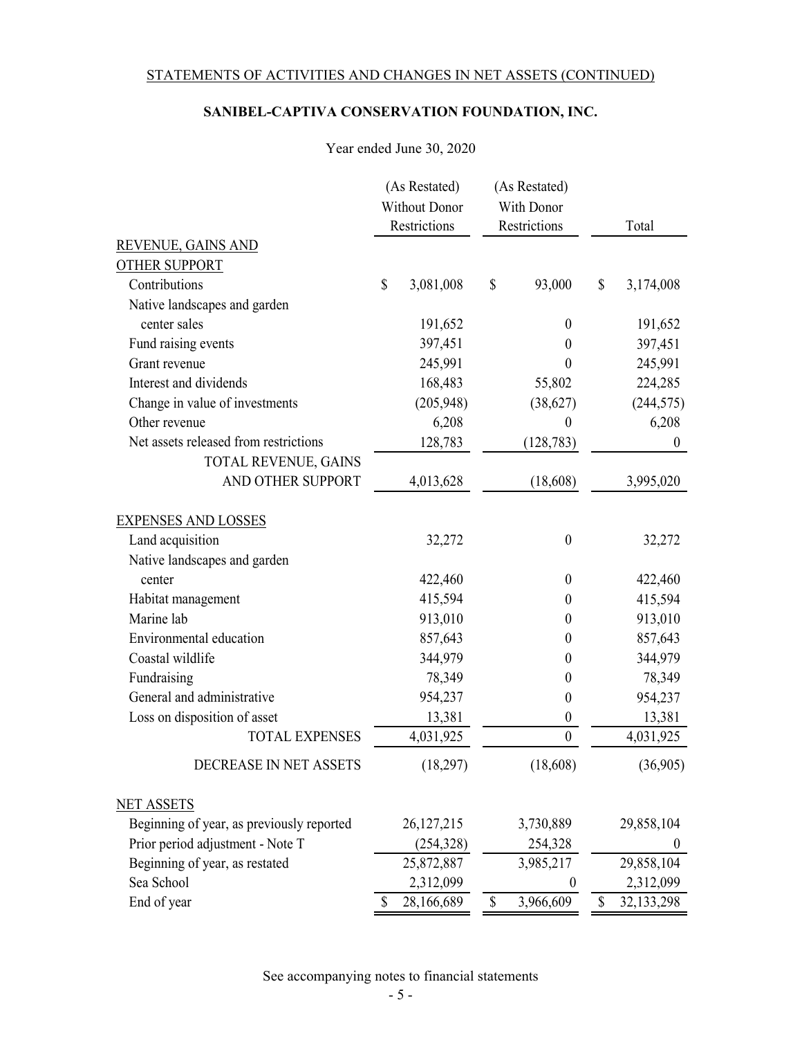# **SANIBEL-CAPTIVA CONSERVATION FOUNDATION, INC.**

## Year ended June 30, 2020

|                                           | (As Restated)<br>Without Donor<br>Restrictions |            | (As Restated)<br>With Donor |    |                |
|-------------------------------------------|------------------------------------------------|------------|-----------------------------|----|----------------|
|                                           |                                                |            | Restrictions                |    | Total          |
| <b>REVENUE, GAINS AND</b>                 |                                                |            |                             |    |                |
| OTHER SUPPORT                             |                                                |            |                             |    |                |
| Contributions                             | $\mathbb{S}$                                   | 3,081,008  | \$<br>93,000                | \$ | 3,174,008      |
| Native landscapes and garden              |                                                |            |                             |    |                |
| center sales                              |                                                | 191,652    | $\boldsymbol{0}$            |    | 191,652        |
| Fund raising events                       |                                                | 397,451    | $\theta$                    |    | 397,451        |
| Grant revenue                             |                                                | 245,991    | 0                           |    | 245,991        |
| Interest and dividends                    |                                                | 168,483    | 55,802                      |    | 224,285        |
| Change in value of investments            |                                                | (205, 948) | (38, 627)                   |    | (244, 575)     |
| Other revenue                             |                                                | 6,208      | 0                           |    | 6,208          |
| Net assets released from restrictions     |                                                | 128,783    | (128, 783)                  |    | $\overline{0}$ |
| TOTAL REVENUE, GAINS                      |                                                |            |                             |    |                |
| AND OTHER SUPPORT                         |                                                | 4,013,628  | (18, 608)                   |    | 3,995,020      |
| <b>EXPENSES AND LOSSES</b>                |                                                |            |                             |    |                |
| Land acquisition                          |                                                | 32,272     | $\boldsymbol{0}$            |    | 32,272         |
| Native landscapes and garden              |                                                |            |                             |    |                |
| center                                    |                                                | 422,460    | $\theta$                    |    | 422,460        |
| Habitat management                        |                                                | 415,594    | $\boldsymbol{0}$            |    | 415,594        |
| Marine lab                                |                                                | 913,010    | $\boldsymbol{0}$            |    | 913,010        |
| Environmental education                   |                                                | 857,643    | $\boldsymbol{0}$            |    | 857,643        |
| Coastal wildlife                          |                                                | 344,979    | $\theta$                    |    | 344,979        |
| Fundraising                               |                                                | 78,349     | $\boldsymbol{0}$            |    | 78,349         |
| General and administrative                |                                                | 954,237    | $\boldsymbol{0}$            |    | 954,237        |
| Loss on disposition of asset              |                                                | 13,381     | $\boldsymbol{0}$            |    | 13,381         |
| <b>TOTAL EXPENSES</b>                     |                                                | 4,031,925  | $\boldsymbol{0}$            |    | 4,031,925      |
| DECREASE IN NET ASSETS                    |                                                | (18,297)   | (18,608)                    |    | (36,905)       |
| <b>NET ASSETS</b>                         |                                                |            |                             |    |                |
| Beginning of year, as previously reported |                                                | 26,127,215 | 3,730,889                   |    | 29,858,104     |
| Prior period adjustment - Note T          |                                                | (254, 328) | 254,328                     |    | $\overline{0}$ |
| Beginning of year, as restated            |                                                | 25,872,887 | 3,985,217                   |    | 29,858,104     |
| Sea School                                |                                                | 2,312,099  | $\theta$                    |    | 2,312,099      |
| End of year                               | \$                                             | 28,166,689 | \$<br>3,966,609             | \$ | 32, 133, 298   |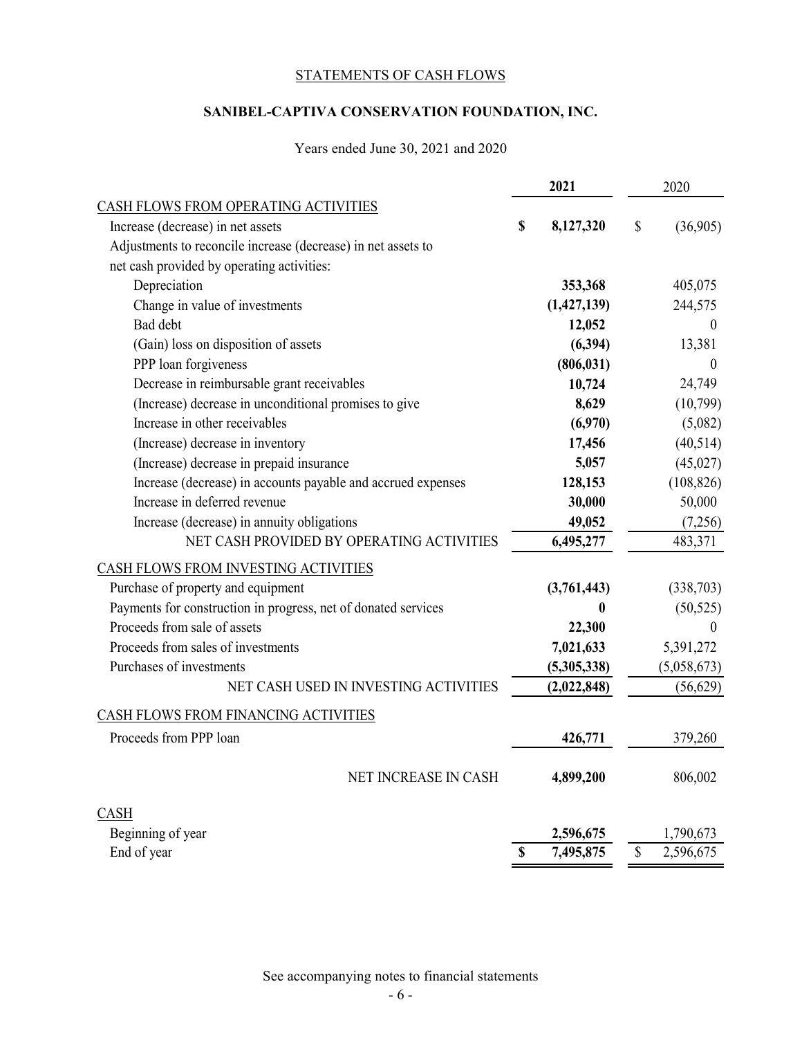# STATEMENTS OF CASH FLOWS

# **SANIBEL-CAPTIVA CONSERVATION FOUNDATION, INC.**

# Years ended June 30, 2021 and 2020

|                                                                | 2021            |                           | 2020             |
|----------------------------------------------------------------|-----------------|---------------------------|------------------|
| CASH FLOWS FROM OPERATING ACTIVITIES                           |                 |                           |                  |
| Increase (decrease) in net assets                              | \$<br>8,127,320 | \$                        | (36,905)         |
| Adjustments to reconcile increase (decrease) in net assets to  |                 |                           |                  |
| net cash provided by operating activities:                     |                 |                           |                  |
| Depreciation                                                   | 353,368         |                           | 405,075          |
| Change in value of investments                                 | (1,427,139)     |                           | 244,575          |
| Bad debt                                                       | 12,052          |                           | $\theta$         |
| (Gain) loss on disposition of assets                           | (6,394)         |                           | 13,381           |
| PPP loan forgiveness                                           | (806, 031)      |                           | $\boldsymbol{0}$ |
| Decrease in reimbursable grant receivables                     | 10,724          |                           | 24,749           |
| (Increase) decrease in unconditional promises to give          | 8,629           |                           | (10,799)         |
| Increase in other receivables                                  | (6,970)         |                           | (5,082)          |
| (Increase) decrease in inventory                               | 17,456          |                           | (40,514)         |
| (Increase) decrease in prepaid insurance                       | 5,057           |                           | (45,027)         |
| Increase (decrease) in accounts payable and accrued expenses   | 128,153         |                           | (108, 826)       |
| Increase in deferred revenue                                   | 30,000          |                           | 50,000           |
| Increase (decrease) in annuity obligations                     | 49,052          |                           | (7,256)          |
| NET CASH PROVIDED BY OPERATING ACTIVITIES                      | 6,495,277       |                           | 483,371          |
| CASH FLOWS FROM INVESTING ACTIVITIES                           |                 |                           |                  |
| Purchase of property and equipment                             | (3,761,443)     |                           | (338,703)        |
| Payments for construction in progress, net of donated services | 0               |                           | (50, 525)        |
| Proceeds from sale of assets                                   | 22,300          |                           | $\theta$         |
| Proceeds from sales of investments                             | 7,021,633       |                           | 5,391,272        |
| Purchases of investments                                       | (5,305,338)     |                           | (5,058,673)      |
| NET CASH USED IN INVESTING ACTIVITIES                          | (2,022,848)     |                           | (56, 629)        |
| CASH FLOWS FROM FINANCING ACTIVITIES                           |                 |                           |                  |
| Proceeds from PPP loan                                         | 426,771         |                           | 379,260          |
| <b>NET INCREASE IN CASH</b>                                    | 4,899,200       |                           | 806,002          |
| <b>CASH</b>                                                    |                 |                           |                  |
| Beginning of year                                              | 2,596,675       |                           | 1,790,673        |
| End of year                                                    | \$<br>7,495,875 | $\boldsymbol{\mathsf{S}}$ | 2,596,675        |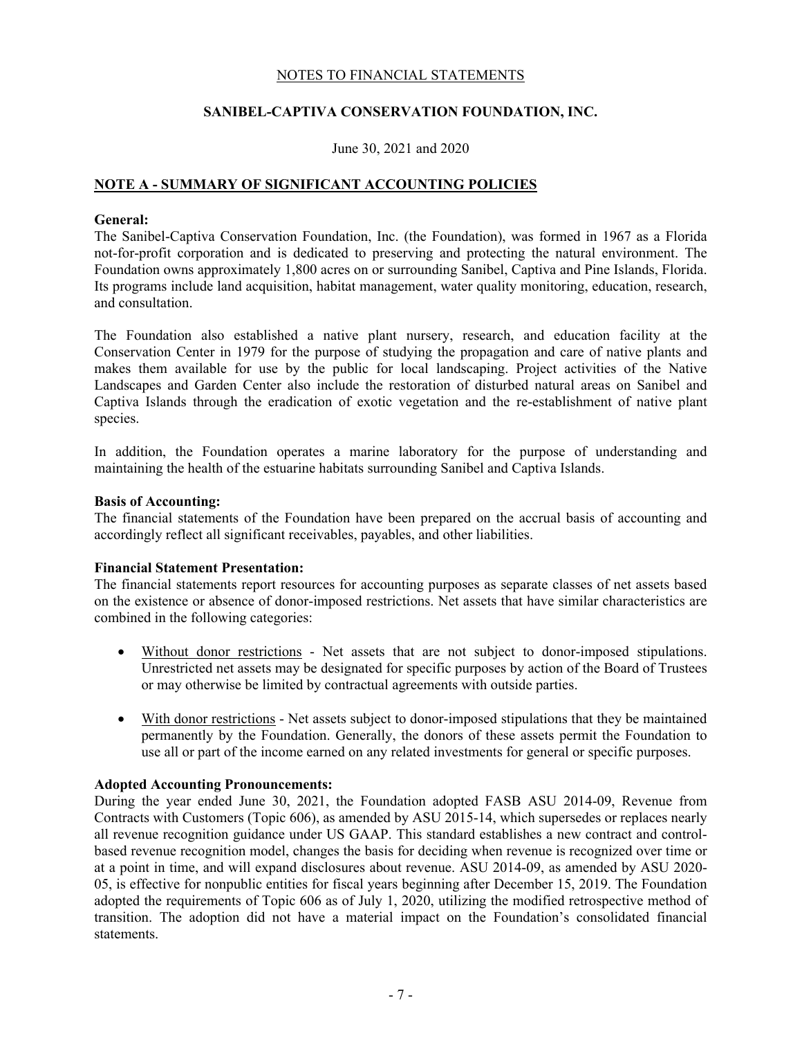## NOTES TO FINANCIAL STATEMENTS

## **SANIBEL-CAPTIVA CONSERVATION FOUNDATION, INC.**

#### June 30, 2021 and 2020

## **NOTE A - SUMMARY OF SIGNIFICANT ACCOUNTING POLICIES**

#### **General:**

The Sanibel-Captiva Conservation Foundation, Inc. (the Foundation), was formed in 1967 as a Florida not-for-profit corporation and is dedicated to preserving and protecting the natural environment. The Foundation owns approximately 1,800 acres on or surrounding Sanibel, Captiva and Pine Islands, Florida. Its programs include land acquisition, habitat management, water quality monitoring, education, research, and consultation.

The Foundation also established a native plant nursery, research, and education facility at the Conservation Center in 1979 for the purpose of studying the propagation and care of native plants and makes them available for use by the public for local landscaping. Project activities of the Native Landscapes and Garden Center also include the restoration of disturbed natural areas on Sanibel and Captiva Islands through the eradication of exotic vegetation and the re-establishment of native plant species.

In addition, the Foundation operates a marine laboratory for the purpose of understanding and maintaining the health of the estuarine habitats surrounding Sanibel and Captiva Islands.

#### **Basis of Accounting:**

The financial statements of the Foundation have been prepared on the accrual basis of accounting and accordingly reflect all significant receivables, payables, and other liabilities.

#### **Financial Statement Presentation:**

The financial statements report resources for accounting purposes as separate classes of net assets based on the existence or absence of donor-imposed restrictions. Net assets that have similar characteristics are combined in the following categories:

- Without donor restrictions Net assets that are not subject to donor-imposed stipulations. Unrestricted net assets may be designated for specific purposes by action of the Board of Trustees or may otherwise be limited by contractual agreements with outside parties.
- With donor restrictions Net assets subject to donor-imposed stipulations that they be maintained permanently by the Foundation. Generally, the donors of these assets permit the Foundation to use all or part of the income earned on any related investments for general or specific purposes.

#### **Adopted Accounting Pronouncements:**

During the year ended June 30, 2021, the Foundation adopted FASB ASU 2014-09, Revenue from Contracts with Customers (Topic 606), as amended by ASU 2015-14, which supersedes or replaces nearly all revenue recognition guidance under US GAAP. This standard establishes a new contract and controlbased revenue recognition model, changes the basis for deciding when revenue is recognized over time or at a point in time, and will expand disclosures about revenue. ASU 2014-09, as amended by ASU 2020- 05, is effective for nonpublic entities for fiscal years beginning after December 15, 2019. The Foundation adopted the requirements of Topic 606 as of July 1, 2020, utilizing the modified retrospective method of transition. The adoption did not have a material impact on the Foundation's consolidated financial statements.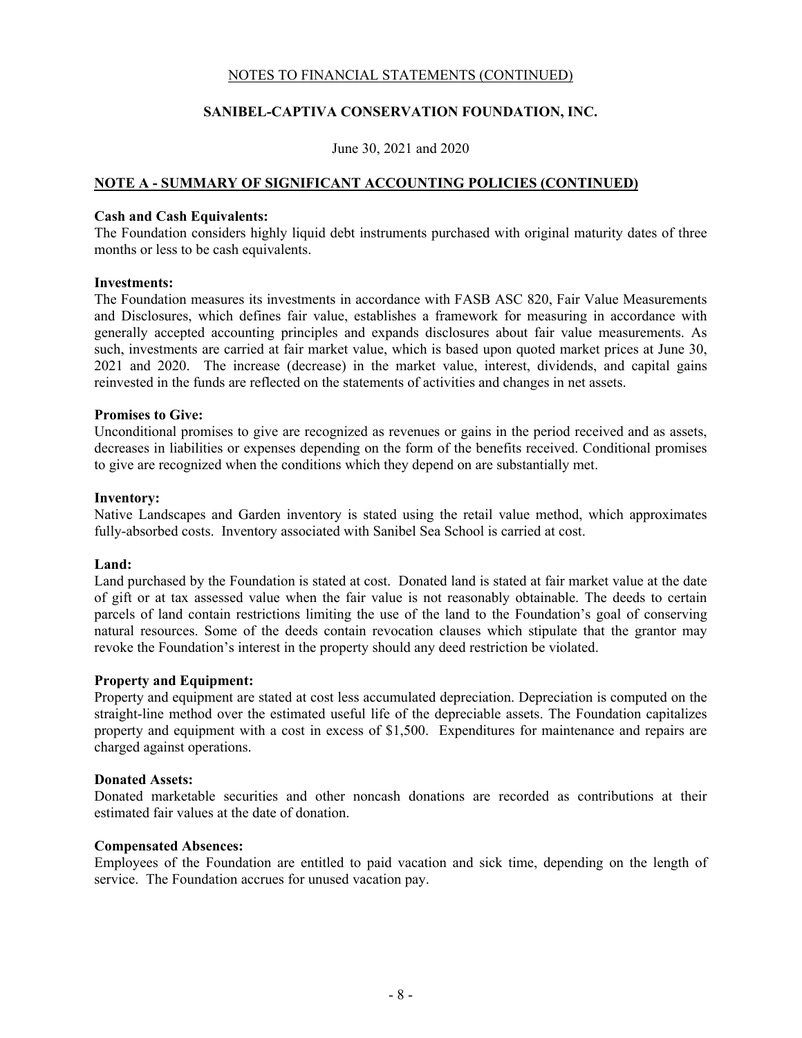## **SANIBEL-CAPTIVA CONSERVATION FOUNDATION, INC.**

June 30, 2021 and 2020

### **NOTE A - SUMMARY OF SIGNIFICANT ACCOUNTING POLICIES (CONTINUED)**

#### **Cash and Cash Equivalents:**

The Foundation considers highly liquid debt instruments purchased with original maturity dates of three months or less to be cash equivalents.

#### **Investments:**

The Foundation measures its investments in accordance with FASB ASC 820, Fair Value Measurements and Disclosures, which defines fair value, establishes a framework for measuring in accordance with generally accepted accounting principles and expands disclosures about fair value measurements. As such, investments are carried at fair market value, which is based upon quoted market prices at June 30, 2021 and 2020. The increase (decrease) in the market value, interest, dividends, and capital gains reinvested in the funds are reflected on the statements of activities and changes in net assets.

#### **Promises to Give:**

Unconditional promises to give are recognized as revenues or gains in the period received and as assets, decreases in liabilities or expenses depending on the form of the benefits received. Conditional promises to give are recognized when the conditions which they depend on are substantially met.

#### **Inventory:**

Native Landscapes and Garden inventory is stated using the retail value method, which approximates fully-absorbed costs. Inventory associated with Sanibel Sea School is carried at cost.

#### **Land:**

Land purchased by the Foundation is stated at cost. Donated land is stated at fair market value at the date of gift or at tax assessed value when the fair value is not reasonably obtainable. The deeds to certain parcels of land contain restrictions limiting the use of the land to the Foundation's goal of conserving natural resources. Some of the deeds contain revocation clauses which stipulate that the grantor may revoke the Foundation's interest in the property should any deed restriction be violated.

#### **Property and Equipment:**

Property and equipment are stated at cost less accumulated depreciation. Depreciation is computed on the straight-line method over the estimated useful life of the depreciable assets. The Foundation capitalizes property and equipment with a cost in excess of \$1,500. Expenditures for maintenance and repairs are charged against operations.

### **Donated Assets:**

Donated marketable securities and other noncash donations are recorded as contributions at their estimated fair values at the date of donation.

### **Compensated Absences:**

Employees of the Foundation are entitled to paid vacation and sick time, depending on the length of service. The Foundation accrues for unused vacation pay.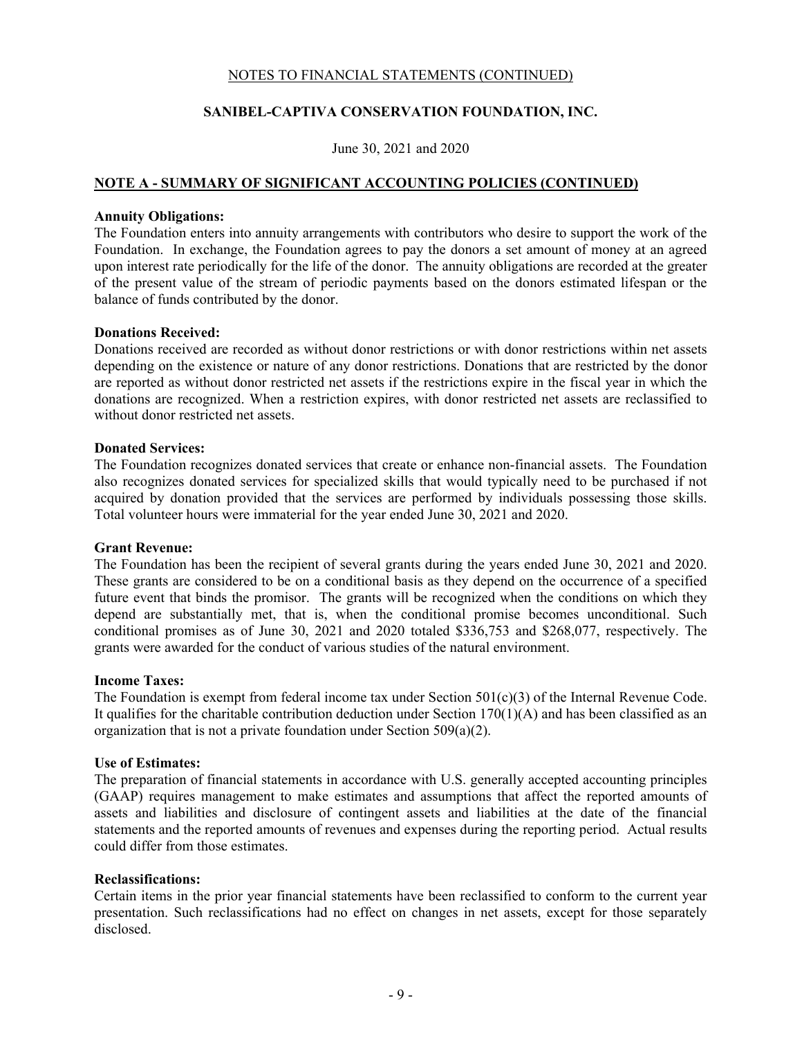## **SANIBEL-CAPTIVA CONSERVATION FOUNDATION, INC.**

June 30, 2021 and 2020

### **NOTE A - SUMMARY OF SIGNIFICANT ACCOUNTING POLICIES (CONTINUED)**

#### **Annuity Obligations:**

The Foundation enters into annuity arrangements with contributors who desire to support the work of the Foundation. In exchange, the Foundation agrees to pay the donors a set amount of money at an agreed upon interest rate periodically for the life of the donor. The annuity obligations are recorded at the greater of the present value of the stream of periodic payments based on the donors estimated lifespan or the balance of funds contributed by the donor.

#### **Donations Received:**

Donations received are recorded as without donor restrictions or with donor restrictions within net assets depending on the existence or nature of any donor restrictions. Donations that are restricted by the donor are reported as without donor restricted net assets if the restrictions expire in the fiscal year in which the donations are recognized. When a restriction expires, with donor restricted net assets are reclassified to without donor restricted net assets.

#### **Donated Services:**

The Foundation recognizes donated services that create or enhance non-financial assets. The Foundation also recognizes donated services for specialized skills that would typically need to be purchased if not acquired by donation provided that the services are performed by individuals possessing those skills. Total volunteer hours were immaterial for the year ended June 30, 2021 and 2020.

#### **Grant Revenue:**

The Foundation has been the recipient of several grants during the years ended June 30, 2021 and 2020. These grants are considered to be on a conditional basis as they depend on the occurrence of a specified future event that binds the promisor. The grants will be recognized when the conditions on which they depend are substantially met, that is, when the conditional promise becomes unconditional. Such conditional promises as of June 30, 2021 and 2020 totaled \$336,753 and \$268,077, respectively. The grants were awarded for the conduct of various studies of the natural environment.

### **Income Taxes:**

The Foundation is exempt from federal income tax under Section  $501(c)(3)$  of the Internal Revenue Code. It qualifies for the charitable contribution deduction under Section 170(1)(A) and has been classified as an organization that is not a private foundation under Section 509(a)(2).

#### **Use of Estimates:**

The preparation of financial statements in accordance with U.S. generally accepted accounting principles (GAAP) requires management to make estimates and assumptions that affect the reported amounts of assets and liabilities and disclosure of contingent assets and liabilities at the date of the financial statements and the reported amounts of revenues and expenses during the reporting period. Actual results could differ from those estimates.

#### **Reclassifications:**

Certain items in the prior year financial statements have been reclassified to conform to the current year presentation. Such reclassifications had no effect on changes in net assets, except for those separately disclosed.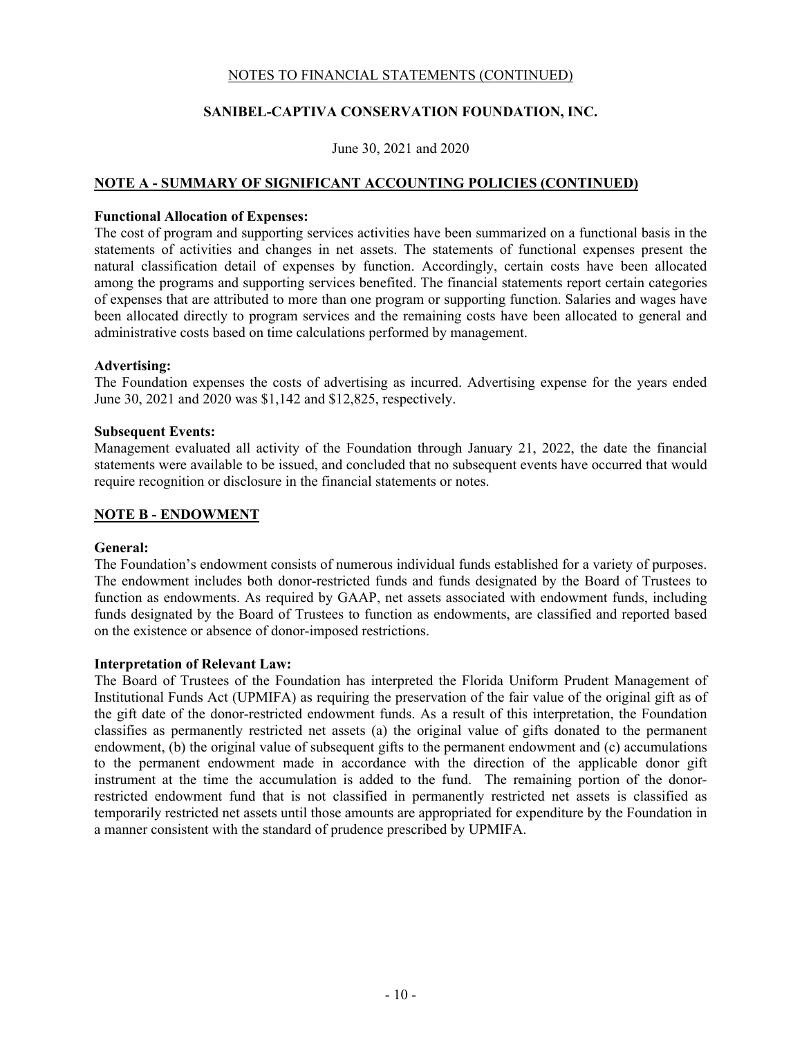## **SANIBEL-CAPTIVA CONSERVATION FOUNDATION, INC.**

June 30, 2021 and 2020

### **NOTE A - SUMMARY OF SIGNIFICANT ACCOUNTING POLICIES (CONTINUED)**

#### **Functional Allocation of Expenses:**

The cost of program and supporting services activities have been summarized on a functional basis in the statements of activities and changes in net assets. The statements of functional expenses present the natural classification detail of expenses by function. Accordingly, certain costs have been allocated among the programs and supporting services benefited. The financial statements report certain categories of expenses that are attributed to more than one program or supporting function. Salaries and wages have been allocated directly to program services and the remaining costs have been allocated to general and administrative costs based on time calculations performed by management.

#### **Advertising:**

The Foundation expenses the costs of advertising as incurred. Advertising expense for the years ended June 30, 2021 and 2020 was \$1,142 and \$12,825, respectively.

#### **Subsequent Events:**

Management evaluated all activity of the Foundation through January 21, 2022, the date the financial statements were available to be issued, and concluded that no subsequent events have occurred that would require recognition or disclosure in the financial statements or notes.

## **NOTE B - ENDOWMENT**

#### **General:**

The Foundation's endowment consists of numerous individual funds established for a variety of purposes. The endowment includes both donor-restricted funds and funds designated by the Board of Trustees to function as endowments. As required by GAAP, net assets associated with endowment funds, including funds designated by the Board of Trustees to function as endowments, are classified and reported based on the existence or absence of donor-imposed restrictions.

#### **Interpretation of Relevant Law:**

The Board of Trustees of the Foundation has interpreted the Florida Uniform Prudent Management of Institutional Funds Act (UPMIFA) as requiring the preservation of the fair value of the original gift as of the gift date of the donor-restricted endowment funds. As a result of this interpretation, the Foundation classifies as permanently restricted net assets (a) the original value of gifts donated to the permanent endowment, (b) the original value of subsequent gifts to the permanent endowment and (c) accumulations to the permanent endowment made in accordance with the direction of the applicable donor gift instrument at the time the accumulation is added to the fund. The remaining portion of the donorrestricted endowment fund that is not classified in permanently restricted net assets is classified as temporarily restricted net assets until those amounts are appropriated for expenditure by the Foundation in a manner consistent with the standard of prudence prescribed by UPMIFA.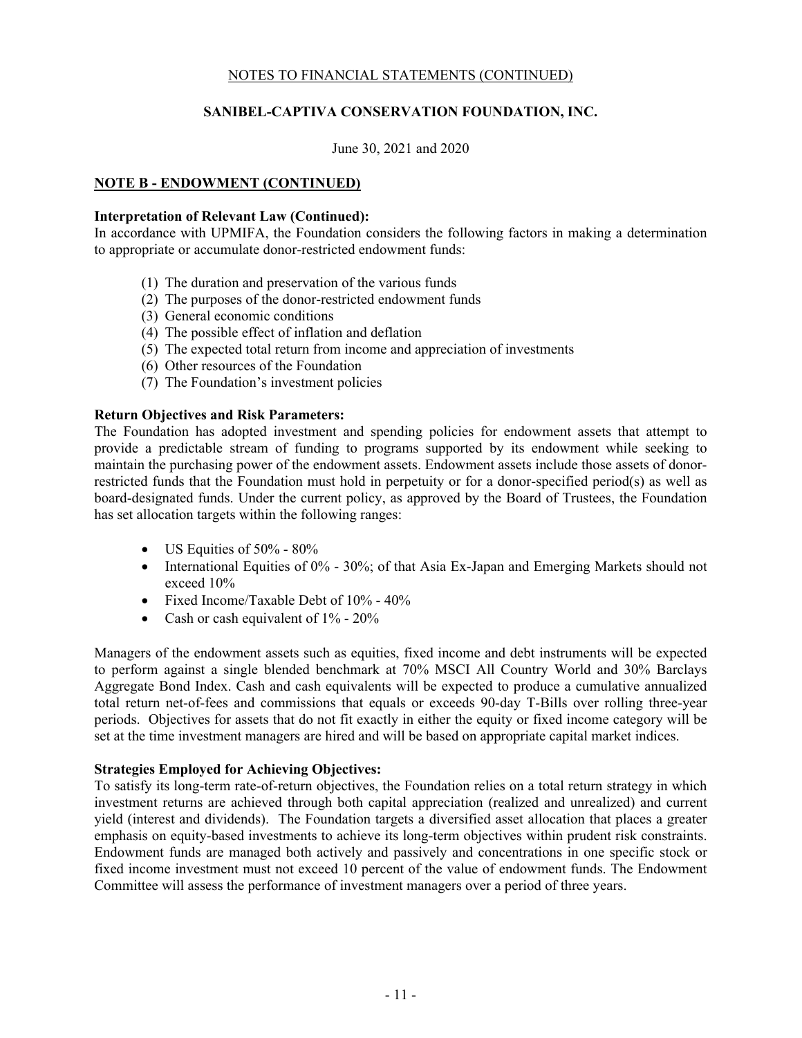## **SANIBEL-CAPTIVA CONSERVATION FOUNDATION, INC.**

June 30, 2021 and 2020

## **NOTE B - ENDOWMENT (CONTINUED)**

#### **Interpretation of Relevant Law (Continued):**

In accordance with UPMIFA, the Foundation considers the following factors in making a determination to appropriate or accumulate donor-restricted endowment funds:

- (1) The duration and preservation of the various funds
- (2) The purposes of the donor-restricted endowment funds
- (3) General economic conditions
- (4) The possible effect of inflation and deflation
- (5) The expected total return from income and appreciation of investments
- (6) Other resources of the Foundation
- (7) The Foundation's investment policies

#### **Return Objectives and Risk Parameters:**

The Foundation has adopted investment and spending policies for endowment assets that attempt to provide a predictable stream of funding to programs supported by its endowment while seeking to maintain the purchasing power of the endowment assets. Endowment assets include those assets of donorrestricted funds that the Foundation must hold in perpetuity or for a donor-specified period(s) as well as board-designated funds. Under the current policy, as approved by the Board of Trustees, the Foundation has set allocation targets within the following ranges:

- $\bullet$  US Equities of 50% 80%
- International Equities of 0% 30%; of that Asia Ex-Japan and Emerging Markets should not exceed 10%
- Fixed Income/Taxable Debt of 10% 40%
- Cash or cash equivalent of 1% 20%

Managers of the endowment assets such as equities, fixed income and debt instruments will be expected to perform against a single blended benchmark at 70% MSCI All Country World and 30% Barclays Aggregate Bond Index. Cash and cash equivalents will be expected to produce a cumulative annualized total return net-of-fees and commissions that equals or exceeds 90-day T-Bills over rolling three-year periods. Objectives for assets that do not fit exactly in either the equity or fixed income category will be set at the time investment managers are hired and will be based on appropriate capital market indices.

#### **Strategies Employed for Achieving Objectives:**

To satisfy its long-term rate-of-return objectives, the Foundation relies on a total return strategy in which investment returns are achieved through both capital appreciation (realized and unrealized) and current yield (interest and dividends). The Foundation targets a diversified asset allocation that places a greater emphasis on equity-based investments to achieve its long-term objectives within prudent risk constraints. Endowment funds are managed both actively and passively and concentrations in one specific stock or fixed income investment must not exceed 10 percent of the value of endowment funds. The Endowment Committee will assess the performance of investment managers over a period of three years.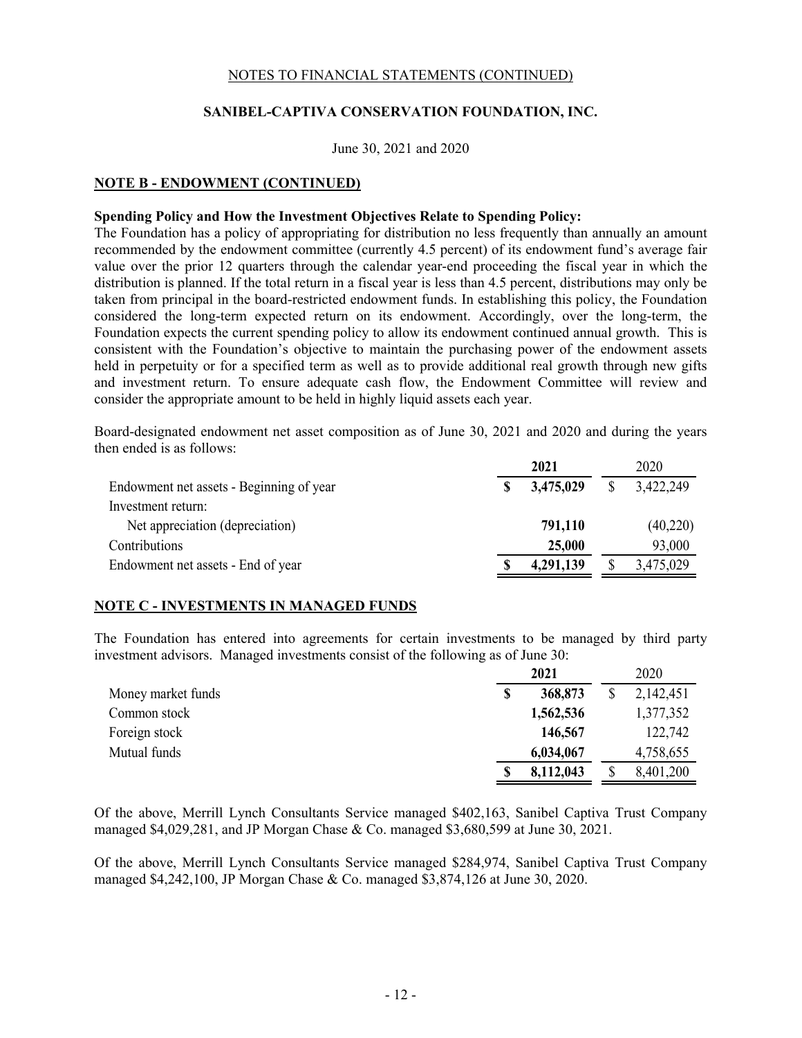## **SANIBEL-CAPTIVA CONSERVATION FOUNDATION, INC.**

June 30, 2021 and 2020

### **NOTE B - ENDOWMENT (CONTINUED)**

#### **Spending Policy and How the Investment Objectives Relate to Spending Policy:**

The Foundation has a policy of appropriating for distribution no less frequently than annually an amount recommended by the endowment committee (currently 4.5 percent) of its endowment fund's average fair value over the prior 12 quarters through the calendar year-end proceeding the fiscal year in which the distribution is planned. If the total return in a fiscal year is less than 4.5 percent, distributions may only be taken from principal in the board-restricted endowment funds. In establishing this policy, the Foundation considered the long-term expected return on its endowment. Accordingly, over the long-term, the Foundation expects the current spending policy to allow its endowment continued annual growth. This is consistent with the Foundation's objective to maintain the purchasing power of the endowment assets held in perpetuity or for a specified term as well as to provide additional real growth through new gifts and investment return. To ensure adequate cash flow, the Endowment Committee will review and consider the appropriate amount to be held in highly liquid assets each year.

Board-designated endowment net asset composition as of June 30, 2021 and 2020 and during the years then ended is as follows:

|                                          | 2021      | 2020      |
|------------------------------------------|-----------|-----------|
| Endowment net assets - Beginning of year | 3,475,029 | 3,422,249 |
| Investment return:                       |           |           |
| Net appreciation (depreciation)          | 791,110   | (40,220)  |
| Contributions                            | 25,000    | 93,000    |
| Endowment net assets - End of year       | 4,291,139 | 3,475,029 |

#### **NOTE C - INVESTMENTS IN MANAGED FUNDS**

The Foundation has entered into agreements for certain investments to be managed by third party investment advisors. Managed investments consist of the following as of June 30:

|                    | 2021 |           |  | 2020      |
|--------------------|------|-----------|--|-----------|
| Money market funds | \$   | 368,873   |  | 2,142,451 |
| Common stock       |      | 1,562,536 |  | 1,377,352 |
| Foreign stock      |      | 146,567   |  | 122,742   |
| Mutual funds       |      | 6,034,067 |  | 4,758,655 |
|                    |      | 8,112,043 |  | 8,401,200 |

Of the above, Merrill Lynch Consultants Service managed \$402,163, Sanibel Captiva Trust Company managed \$4,029,281, and JP Morgan Chase & Co. managed \$3,680,599 at June 30, 2021.

Of the above, Merrill Lynch Consultants Service managed \$284,974, Sanibel Captiva Trust Company managed \$4,242,100, JP Morgan Chase & Co. managed \$3,874,126 at June 30, 2020.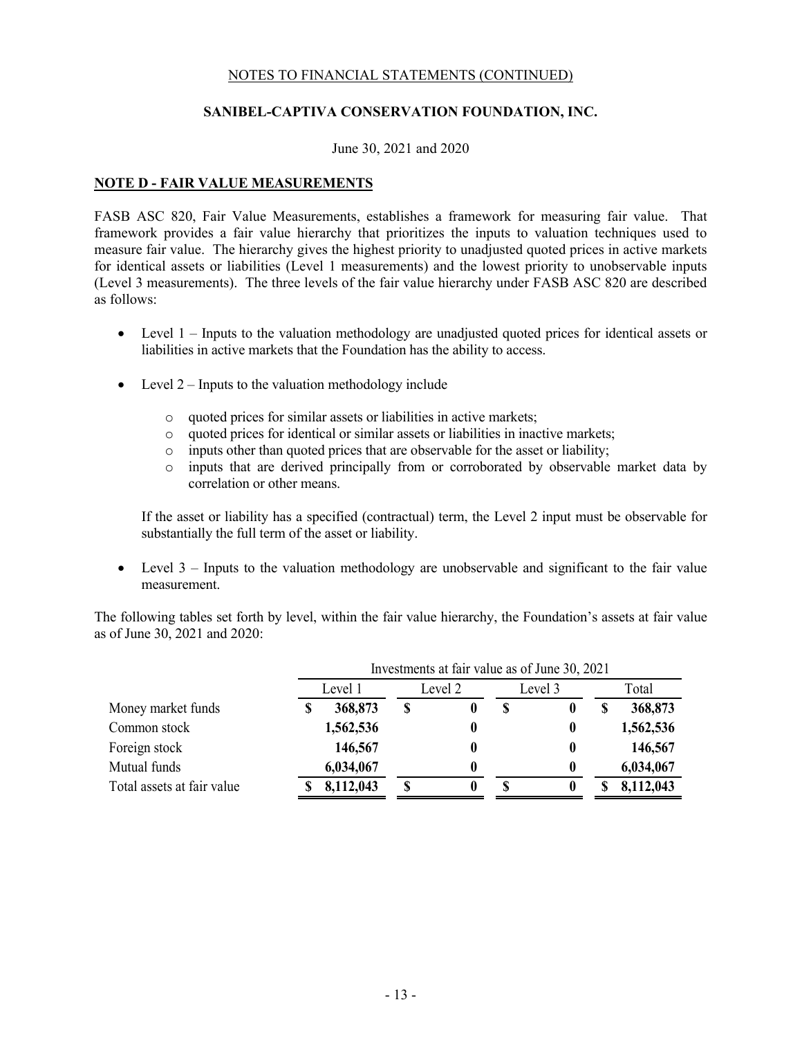## **SANIBEL-CAPTIVA CONSERVATION FOUNDATION, INC.**

June 30, 2021 and 2020

### **NOTE D - FAIR VALUE MEASUREMENTS**

FASB ASC 820, Fair Value Measurements, establishes a framework for measuring fair value. That framework provides a fair value hierarchy that prioritizes the inputs to valuation techniques used to measure fair value. The hierarchy gives the highest priority to unadjusted quoted prices in active markets for identical assets or liabilities (Level 1 measurements) and the lowest priority to unobservable inputs (Level 3 measurements). The three levels of the fair value hierarchy under FASB ASC 820 are described as follows:

- Level 1 Inputs to the valuation methodology are unadjusted quoted prices for identical assets or liabilities in active markets that the Foundation has the ability to access.
- Level  $2$  Inputs to the valuation methodology include
	- o quoted prices for similar assets or liabilities in active markets;
	- o quoted prices for identical or similar assets or liabilities in inactive markets;
	- o inputs other than quoted prices that are observable for the asset or liability;
	- o inputs that are derived principally from or corroborated by observable market data by correlation or other means.

If the asset or liability has a specified (contractual) term, the Level 2 input must be observable for substantially the full term of the asset or liability.

 $\bullet$  Level 3 – Inputs to the valuation methodology are unobservable and significant to the fair value measurement.

The following tables set forth by level, within the fair value hierarchy, the Foundation's assets at fair value as of June 30, 2021 and 2020:

|                            | Investments at fair value as of June 30, 2021 |           |         |              |         |          |  |           |
|----------------------------|-----------------------------------------------|-----------|---------|--------------|---------|----------|--|-----------|
|                            |                                               | Level 1   | Level 2 |              | Level 3 |          |  | Total     |
| Money market funds         | S                                             | 368,873   | \$      | $\mathbf{0}$ | S       | $\bf{0}$ |  | 368,873   |
| Common stock               |                                               | 1,562,536 |         |              |         | 0        |  | 1,562,536 |
| Foreign stock              |                                               | 146,567   |         |              |         | 0        |  | 146,567   |
| Mutual funds               |                                               | 6,034,067 |         |              |         | 0        |  | 6,034,067 |
| Total assets at fair value |                                               | 8,112,043 |         | 0            | S       |          |  | 8,112,043 |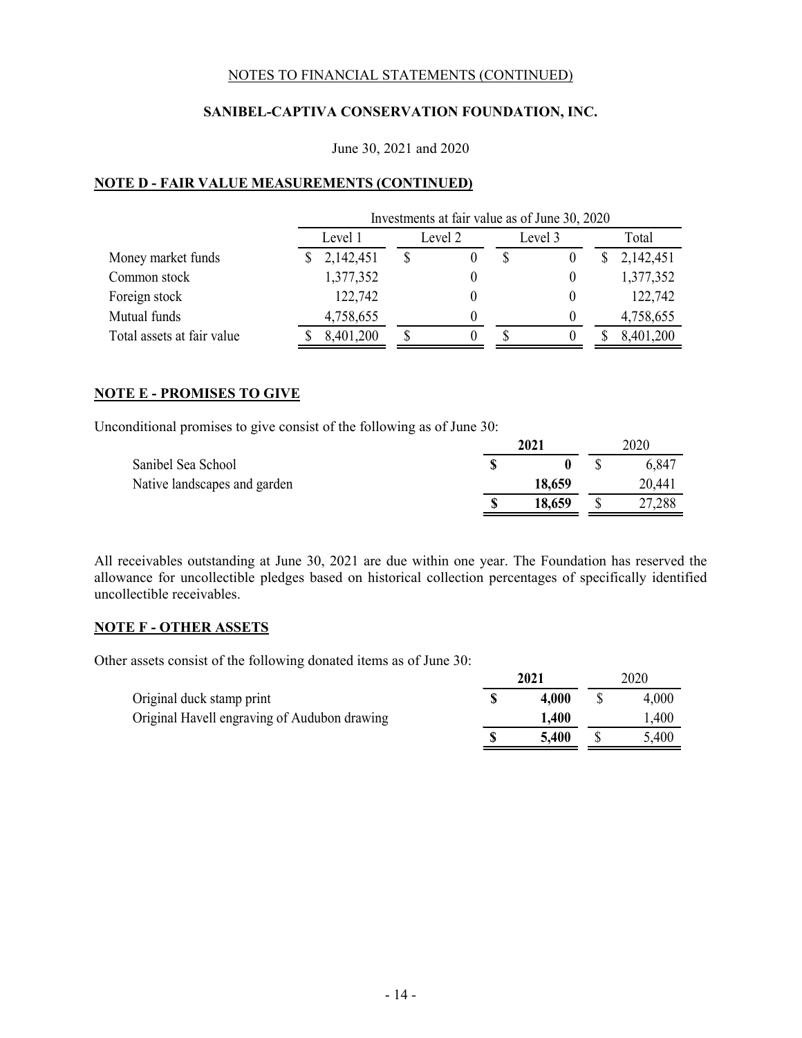## **SANIBEL-CAPTIVA CONSERVATION FOUNDATION, INC.**

June 30, 2021 and 2020

#### **NOTE D - FAIR VALUE MEASUREMENTS (CONTINUED)**

|                            | Investments at fair value as of June 30, 2020 |           |  |         |         |  |  |           |
|----------------------------|-----------------------------------------------|-----------|--|---------|---------|--|--|-----------|
|                            | Level 1                                       |           |  | Level 2 | Level 3 |  |  | Total     |
| Money market funds         |                                               | 2,142,451 |  |         |         |  |  | 2,142,451 |
| Common stock               |                                               | 1,377,352 |  |         |         |  |  | 1,377,352 |
| Foreign stock              |                                               | 122,742   |  |         |         |  |  | 122,742   |
| Mutual funds               |                                               | 4,758,655 |  |         |         |  |  | 4,758,655 |
| Total assets at fair value |                                               | 8,401,200 |  |         |         |  |  | 8,401,200 |

#### **NOTE E - PROMISES TO GIVE**

Unconditional promises to give consist of the following as of June 30:

|                              | 2021 |        |  | 2020   |  |  |
|------------------------------|------|--------|--|--------|--|--|
| Sanibel Sea School           |      |        |  | 6.847  |  |  |
| Native landscapes and garden |      | 18,659 |  | 20,441 |  |  |
|                              |      | 18,659 |  | 27,288 |  |  |

All receivables outstanding at June 30, 2021 are due within one year. The Foundation has reserved the allowance for uncollectible pledges based on historical collection percentages of specifically identified uncollectible receivables.

## **NOTE F - OTHER ASSETS**

Other assets consist of the following donated items as of June 30:

|                                              | 2021 | 2020  |  |       |
|----------------------------------------------|------|-------|--|-------|
| Original duck stamp print                    |      | 4.000 |  | 4,000 |
| Original Havell engraving of Audubon drawing |      | 1,400 |  | 1,400 |
|                                              |      | 5.400 |  | 5.400 |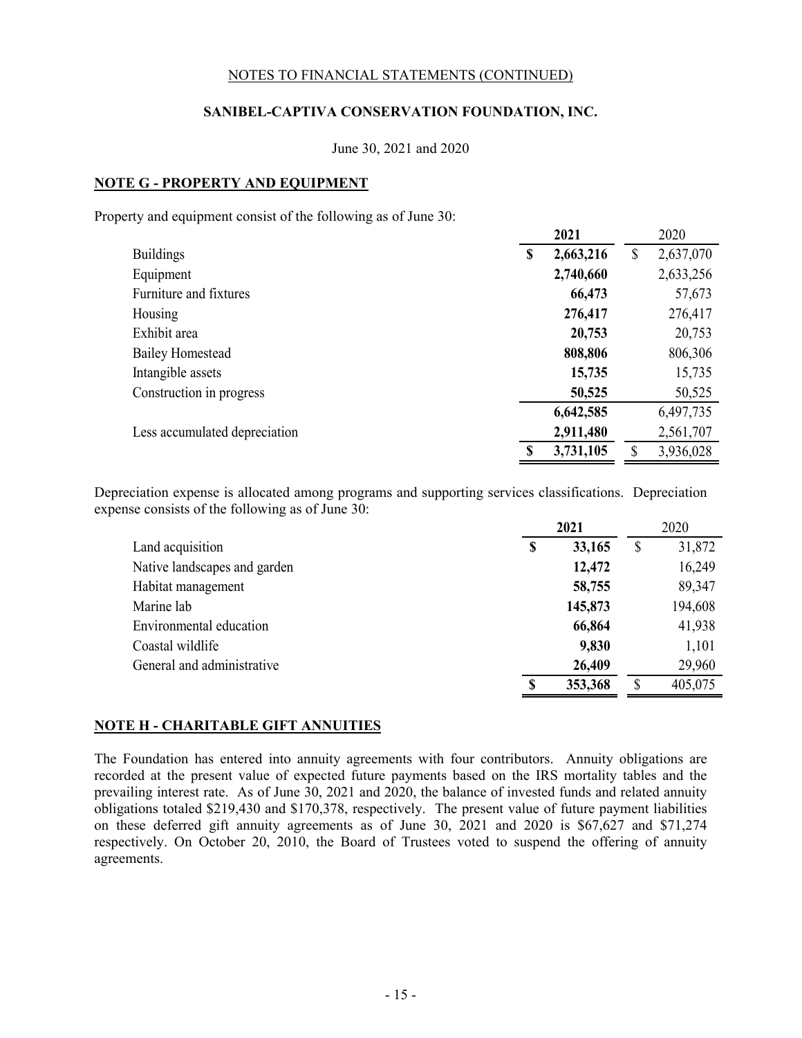### **SANIBEL-CAPTIVA CONSERVATION FOUNDATION, INC.**

June 30, 2021 and 2020

### **NOTE G - PROPERTY AND EQUIPMENT**

Property and equipment consist of the following as of June 30:

|                               | 2021            | 2020            |
|-------------------------------|-----------------|-----------------|
| <b>Buildings</b>              | \$<br>2,663,216 | \$<br>2,637,070 |
| Equipment                     | 2,740,660       | 2,633,256       |
| Furniture and fixtures        | 66,473          | 57,673          |
| Housing                       | 276,417         | 276,417         |
| Exhibit area                  | 20,753          | 20,753          |
| <b>Bailey Homestead</b>       | 808,806         | 806,306         |
| Intangible assets             | 15,735          | 15,735          |
| Construction in progress      | 50,525          | 50,525          |
|                               | 6,642,585       | 6,497,735       |
| Less accumulated depreciation | 2,911,480       | 2,561,707       |
|                               | \$<br>3,731,105 | \$<br>3,936,028 |

Depreciation expense is allocated among programs and supporting services classifications. Depreciation expense consists of the following as of June 30:

|                              |   | 2021    | 2020          |
|------------------------------|---|---------|---------------|
| Land acquisition             | S | 33,165  | \$<br>31,872  |
| Native landscapes and garden |   | 12,472  | 16,249        |
| Habitat management           |   | 58,755  | 89,347        |
| Marine lab                   |   | 145,873 | 194,608       |
| Environmental education      |   | 66,864  | 41,938        |
| Coastal wildlife             |   | 9,830   | 1,101         |
| General and administrative   |   | 26,409  | 29,960        |
|                              | S | 353,368 | \$<br>405,075 |

#### **NOTE H - CHARITABLE GIFT ANNUITIES**

The Foundation has entered into annuity agreements with four contributors. Annuity obligations are recorded at the present value of expected future payments based on the IRS mortality tables and the prevailing interest rate. As of June 30, 2021 and 2020, the balance of invested funds and related annuity obligations totaled \$219,430 and \$170,378, respectively. The present value of future payment liabilities on these deferred gift annuity agreements as of June 30, 2021 and 2020 is \$67,627 and \$71,274 respectively. On October 20, 2010, the Board of Trustees voted to suspend the offering of annuity agreements.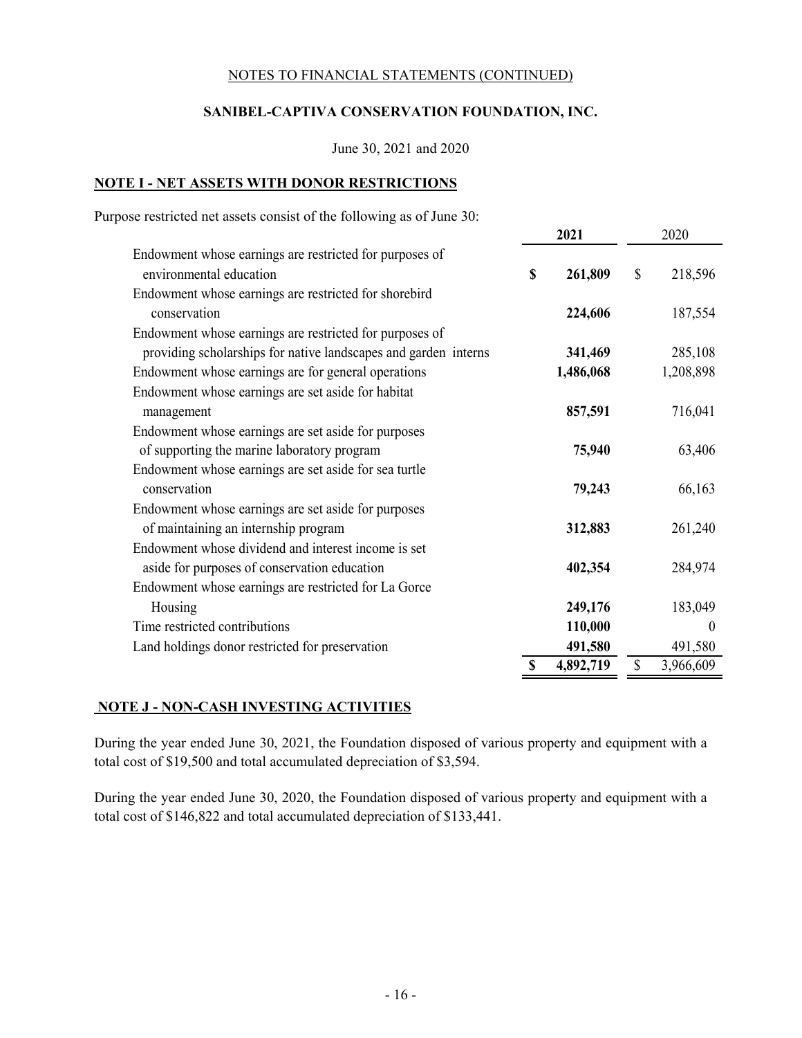### **SANIBEL-CAPTIVA CONSERVATION FOUNDATION, INC.**

June 30, 2021 and 2020

## **NOTE I - NET ASSETS WITH DONOR RESTRICTIONS**

| 2021          | 2020            |
|---------------|-----------------|
|               |                 |
| \$<br>261,809 | \$<br>218,596   |
|               |                 |
| 224,606       | 187,554         |
|               |                 |
| 341,469       | 285,108         |
| 1,486,068     | 1,208,898       |
|               |                 |
| 857,591       | 716,041         |
|               |                 |
| 75,940        | 63,406          |
|               |                 |
| 79,243        | 66,163          |
|               |                 |
| 312,883       | 261,240         |
|               |                 |
| 402,354       | 284,974         |
|               |                 |
| 249,176       | 183,049         |
| 110,000       | $\theta$        |
| 491,580       | 491,580         |
| 4,892,719     | \$<br>3,966,609 |
|               |                 |

## **NOTE J - NON-CASH INVESTING ACTIVITIES**

During the year ended June 30, 2021, the Foundation disposed of various property and equipment with a total cost of \$19,500 and total accumulated depreciation of \$3,594.

During the year ended June 30, 2020, the Foundation disposed of various property and equipment with a total cost of \$146,822 and total accumulated depreciation of \$133,441.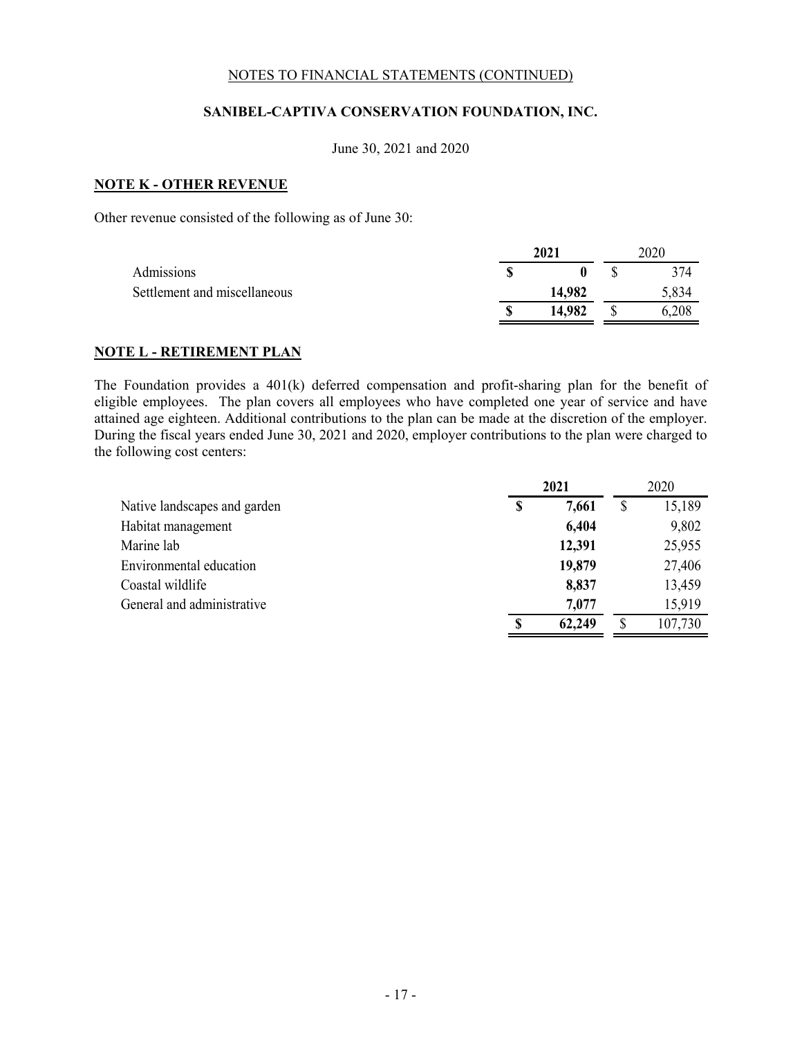## **SANIBEL-CAPTIVA CONSERVATION FOUNDATION, INC.**

June 30, 2021 and 2020

### **NOTE K - OTHER REVENUE**

Other revenue consisted of the following as of June 30:

|                              | 2021   | 2020  |
|------------------------------|--------|-------|
| Admissions                   |        | 374   |
| Settlement and miscellaneous | 14,982 | 5,834 |
|                              | 14.982 | 6,208 |

#### **NOTE L - RETIREMENT PLAN**

The Foundation provides a 401(k) deferred compensation and profit-sharing plan for the benefit of eligible employees. The plan covers all employees who have completed one year of service and have attained age eighteen. Additional contributions to the plan can be made at the discretion of the employer. During the fiscal years ended June 30, 2021 and 2020, employer contributions to the plan were charged to the following cost centers:

|                              | 2021         |    | 2020    |
|------------------------------|--------------|----|---------|
| Native landscapes and garden | \$<br>7,661  | \$ | 15,189  |
| Habitat management           | 6,404        |    | 9,802   |
| Marine lab                   | 12,391       |    | 25,955  |
| Environmental education      | 19,879       |    | 27,406  |
| Coastal wildlife             | 8,837        |    | 13,459  |
| General and administrative   | 7,077        |    | 15,919  |
|                              | \$<br>62,249 | S  | 107,730 |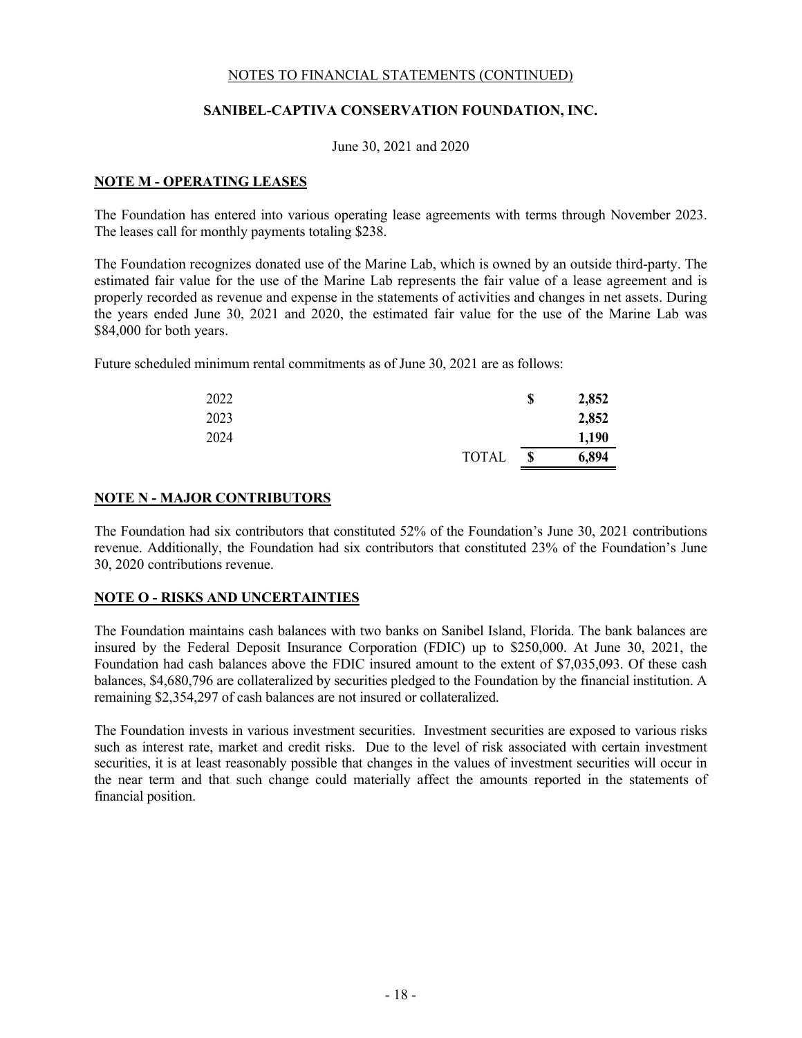### **SANIBEL-CAPTIVA CONSERVATION FOUNDATION, INC.**

June 30, 2021 and 2020

#### **NOTE M - OPERATING LEASES**

The Foundation has entered into various operating lease agreements with terms through November 2023. The leases call for monthly payments totaling \$238.

The Foundation recognizes donated use of the Marine Lab, which is owned by an outside third-party. The estimated fair value for the use of the Marine Lab represents the fair value of a lease agreement and is properly recorded as revenue and expense in the statements of activities and changes in net assets. During the years ended June 30, 2021 and 2020, the estimated fair value for the use of the Marine Lab was \$84,000 for both years.

Future scheduled minimum rental commitments as of June 30, 2021 are as follows:

| 2022 |              | \$ | 2,852 |
|------|--------------|----|-------|
| 2023 |              |    | 2,852 |
| 2024 |              |    | 1,190 |
|      | <b>TOTAL</b> | S  | 6,894 |

#### **NOTE N - MAJOR CONTRIBUTORS**

The Foundation had six contributors that constituted 52% of the Foundation's June 30, 2021 contributions revenue. Additionally, the Foundation had six contributors that constituted 23% of the Foundation's June 30, 2020 contributions revenue.

### **NOTE O - RISKS AND UNCERTAINTIES**

The Foundation maintains cash balances with two banks on Sanibel Island, Florida. The bank balances are insured by the Federal Deposit Insurance Corporation (FDIC) up to \$250,000. At June 30, 2021, the Foundation had cash balances above the FDIC insured amount to the extent of \$7,035,093. Of these cash balances, \$4,680,796 are collateralized by securities pledged to the Foundation by the financial institution. A remaining \$2,354,297 of cash balances are not insured or collateralized.

The Foundation invests in various investment securities. Investment securities are exposed to various risks such as interest rate, market and credit risks. Due to the level of risk associated with certain investment securities, it is at least reasonably possible that changes in the values of investment securities will occur in the near term and that such change could materially affect the amounts reported in the statements of financial position.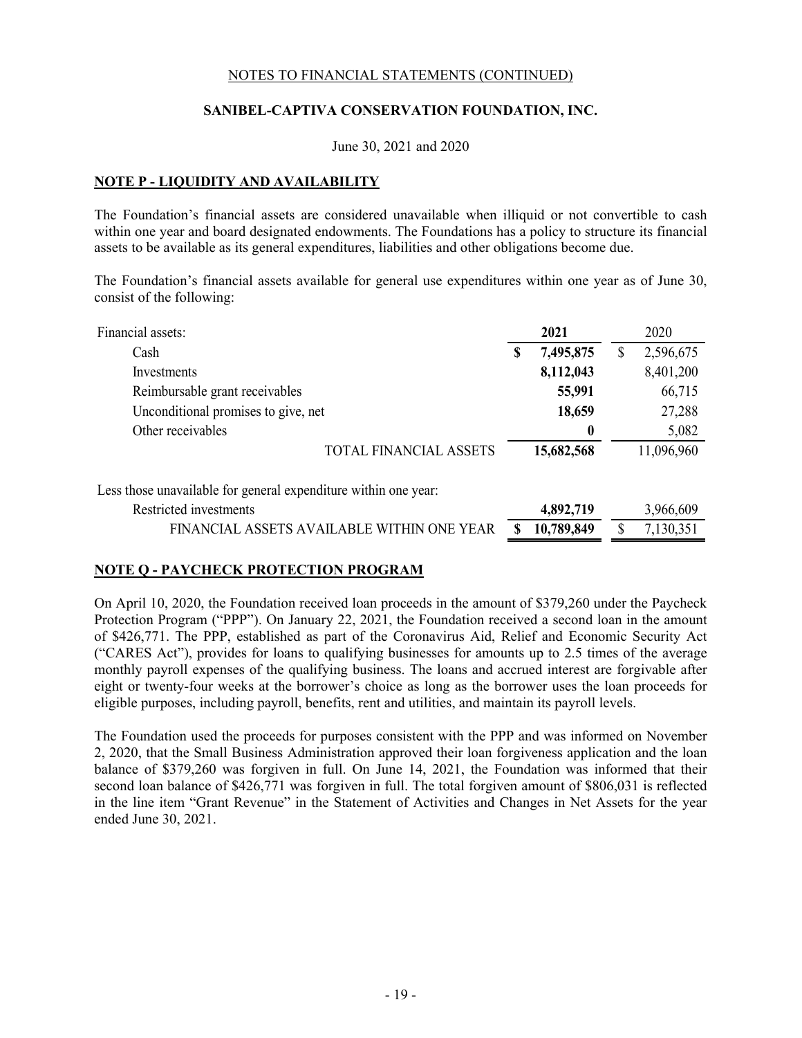### **SANIBEL-CAPTIVA CONSERVATION FOUNDATION, INC.**

June 30, 2021 and 2020

#### **NOTE P - LIQUIDITY AND AVAILABILITY**

The Foundation's financial assets are considered unavailable when illiquid or not convertible to cash within one year and board designated endowments. The Foundations has a policy to structure its financial assets to be available as its general expenditures, liabilities and other obligations become due.

The Foundation's financial assets available for general use expenditures within one year as of June 30, consist of the following:

| Financial assets:                                               | 2021             |    | 2020       |
|-----------------------------------------------------------------|------------------|----|------------|
| Cash                                                            | \$<br>7,495,875  | \$ | 2,596,675  |
| Investments                                                     | 8,112,043        |    | 8,401,200  |
| Reimbursable grant receivables                                  | 55,991           |    | 66,715     |
| Unconditional promises to give, net                             | 18,659           |    | 27,288     |
| Other receivables                                               | $\boldsymbol{0}$ |    | 5,082      |
| <b>TOTAL FINANCIAL ASSETS</b>                                   | 15,682,568       |    | 11,096,960 |
| Less those unavailable for general expenditure within one year: |                  |    |            |
| Restricted investments                                          | 4,892,719        |    | 3,966,609  |
| FINANCIAL ASSETS AVAILABLE WITHIN ONE YEAR                      | 10,789,849       | S  | 7,130,351  |

### **NOTE Q - PAYCHECK PROTECTION PROGRAM**

On April 10, 2020, the Foundation received loan proceeds in the amount of \$379,260 under the Paycheck Protection Program ("PPP"). On January 22, 2021, the Foundation received a second loan in the amount of \$426,771. The PPP, established as part of the Coronavirus Aid, Relief and Economic Security Act ("CARES Act"), provides for loans to qualifying businesses for amounts up to 2.5 times of the average monthly payroll expenses of the qualifying business. The loans and accrued interest are forgivable after eight or twenty-four weeks at the borrower's choice as long as the borrower uses the loan proceeds for eligible purposes, including payroll, benefits, rent and utilities, and maintain its payroll levels.

The Foundation used the proceeds for purposes consistent with the PPP and was informed on November 2, 2020, that the Small Business Administration approved their loan forgiveness application and the loan balance of \$379,260 was forgiven in full. On June 14, 2021, the Foundation was informed that their second loan balance of \$426,771 was forgiven in full. The total forgiven amount of \$806,031 is reflected in the line item "Grant Revenue" in the Statement of Activities and Changes in Net Assets for the year ended June 30, 2021.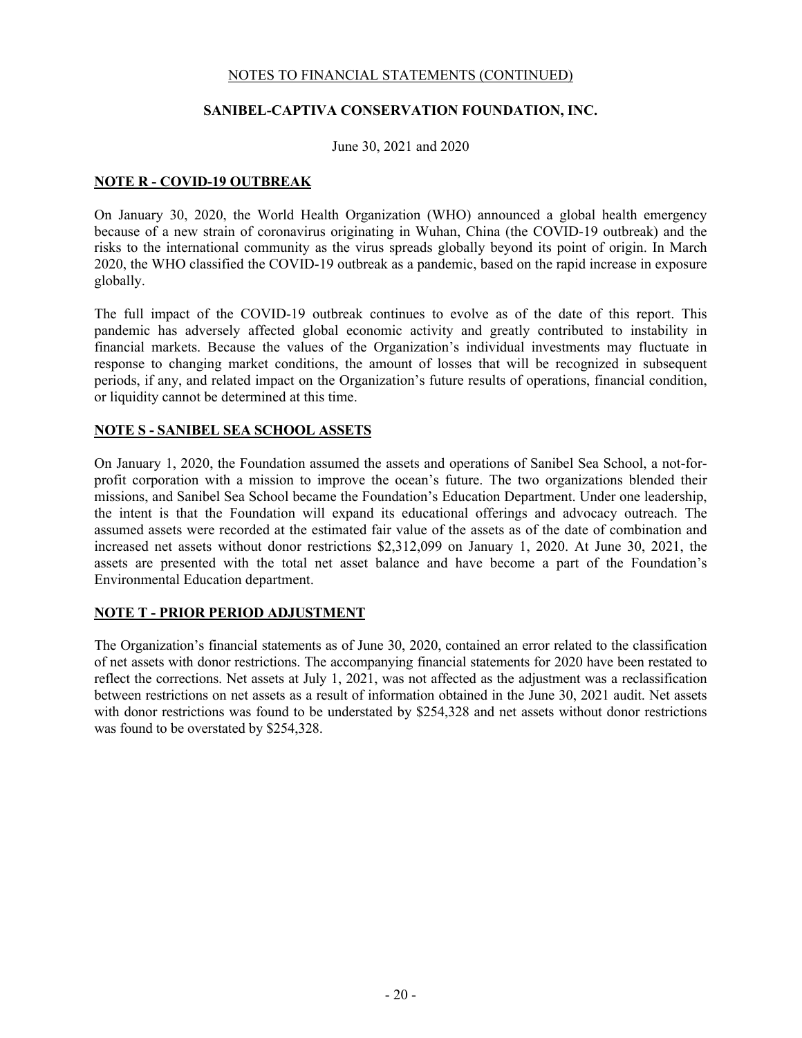### **SANIBEL-CAPTIVA CONSERVATION FOUNDATION, INC.**

June 30, 2021 and 2020

### **NOTE R - COVID-19 OUTBREAK**

On January 30, 2020, the World Health Organization (WHO) announced a global health emergency because of a new strain of coronavirus originating in Wuhan, China (the COVID-19 outbreak) and the risks to the international community as the virus spreads globally beyond its point of origin. In March 2020, the WHO classified the COVID-19 outbreak as a pandemic, based on the rapid increase in exposure globally.

The full impact of the COVID-19 outbreak continues to evolve as of the date of this report. This pandemic has adversely affected global economic activity and greatly contributed to instability in financial markets. Because the values of the Organization's individual investments may fluctuate in response to changing market conditions, the amount of losses that will be recognized in subsequent periods, if any, and related impact on the Organization's future results of operations, financial condition, or liquidity cannot be determined at this time.

#### **NOTE S - SANIBEL SEA SCHOOL ASSETS**

On January 1, 2020, the Foundation assumed the assets and operations of Sanibel Sea School, a not-forprofit corporation with a mission to improve the ocean's future. The two organizations blended their missions, and Sanibel Sea School became the Foundation's Education Department. Under one leadership, the intent is that the Foundation will expand its educational offerings and advocacy outreach. The assumed assets were recorded at the estimated fair value of the assets as of the date of combination and increased net assets without donor restrictions \$2,312,099 on January 1, 2020. At June 30, 2021, the assets are presented with the total net asset balance and have become a part of the Foundation's Environmental Education department.

### **NOTE T - PRIOR PERIOD ADJUSTMENT**

The Organization's financial statements as of June 30, 2020, contained an error related to the classification of net assets with donor restrictions. The accompanying financial statements for 2020 have been restated to reflect the corrections. Net assets at July 1, 2021, was not affected as the adjustment was a reclassification between restrictions on net assets as a result of information obtained in the June 30, 2021 audit. Net assets with donor restrictions was found to be understated by \$254,328 and net assets without donor restrictions was found to be overstated by \$254,328.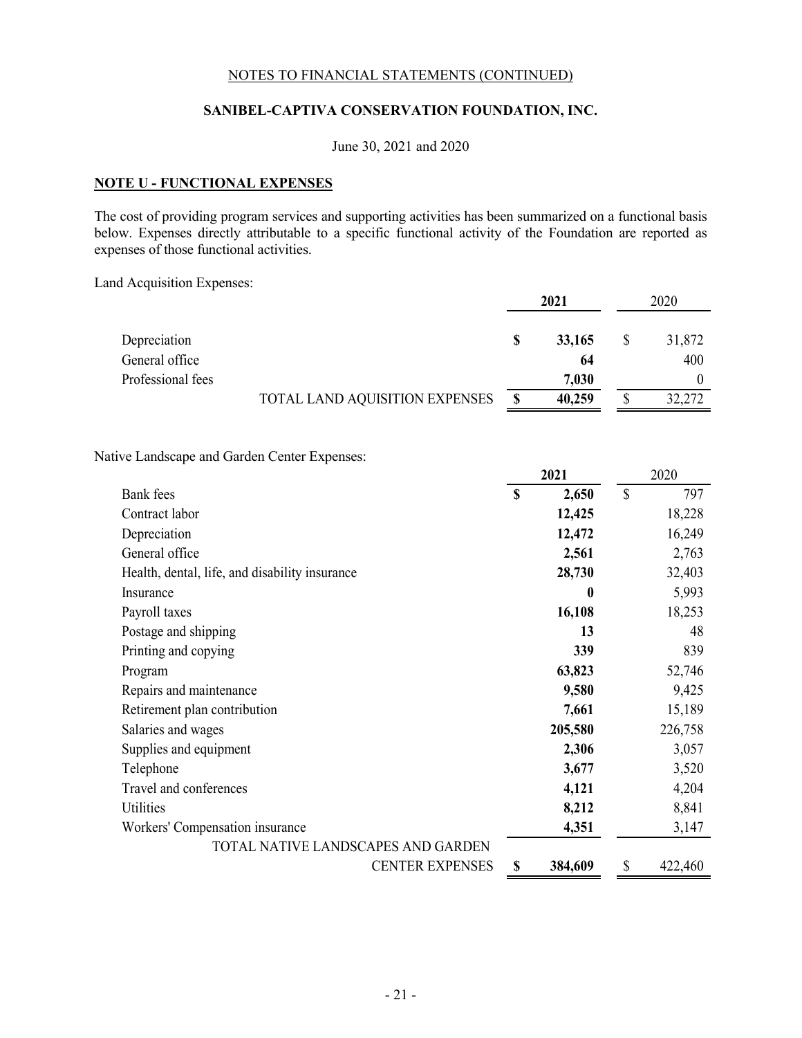## **SANIBEL-CAPTIVA CONSERVATION FOUNDATION, INC.**

June 30, 2021 and 2020

#### **NOTE U - FUNCTIONAL EXPENSES**

The cost of providing program services and supporting activities has been summarized on a functional basis below. Expenses directly attributable to a specific functional activity of the Foundation are reported as expenses of those functional activities.

Land Acquisition Expenses:

|                   |                                |    | 2021   | 2020   |
|-------------------|--------------------------------|----|--------|--------|
| Depreciation      |                                | S  | 33,165 | 31,872 |
| General office    |                                |    | 64     | 400    |
| Professional fees |                                |    | 7,030  |        |
|                   | TOTAL LAND AQUISITION EXPENSES | \$ | 40,259 | 32,272 |

Native Landscape and Garden Center Expenses:

|                                                | 2021     |         | 2020          |         |
|------------------------------------------------|----------|---------|---------------|---------|
| <b>Bank</b> fees                               | <b>S</b> | 2,650   | $\mathcal{S}$ | 797     |
| Contract labor                                 |          | 12,425  |               | 18,228  |
| Depreciation                                   |          | 12,472  |               | 16,249  |
| General office                                 |          | 2,561   |               | 2,763   |
| Health, dental, life, and disability insurance |          | 28,730  |               | 32,403  |
| Insurance                                      |          | 0       |               | 5,993   |
| Payroll taxes                                  |          | 16,108  |               | 18,253  |
| Postage and shipping                           |          | 13      |               | 48      |
| Printing and copying                           |          | 339     |               | 839     |
| Program                                        |          | 63,823  |               | 52,746  |
| Repairs and maintenance                        |          | 9,580   |               | 9,425   |
| Retirement plan contribution                   |          | 7,661   |               | 15,189  |
| Salaries and wages                             |          | 205,580 |               | 226,758 |
| Supplies and equipment                         |          | 2,306   |               | 3,057   |
| Telephone                                      |          | 3,677   |               | 3,520   |
| Travel and conferences                         |          | 4,121   |               | 4,204   |
| Utilities                                      |          | 8,212   |               | 8,841   |
| Workers' Compensation insurance                |          | 4,351   |               | 3,147   |
| TOTAL NATIVE LANDSCAPES AND GARDEN             |          |         |               |         |
| <b>CENTER EXPENSES</b>                         | \$       | 384,609 | \$            | 422,460 |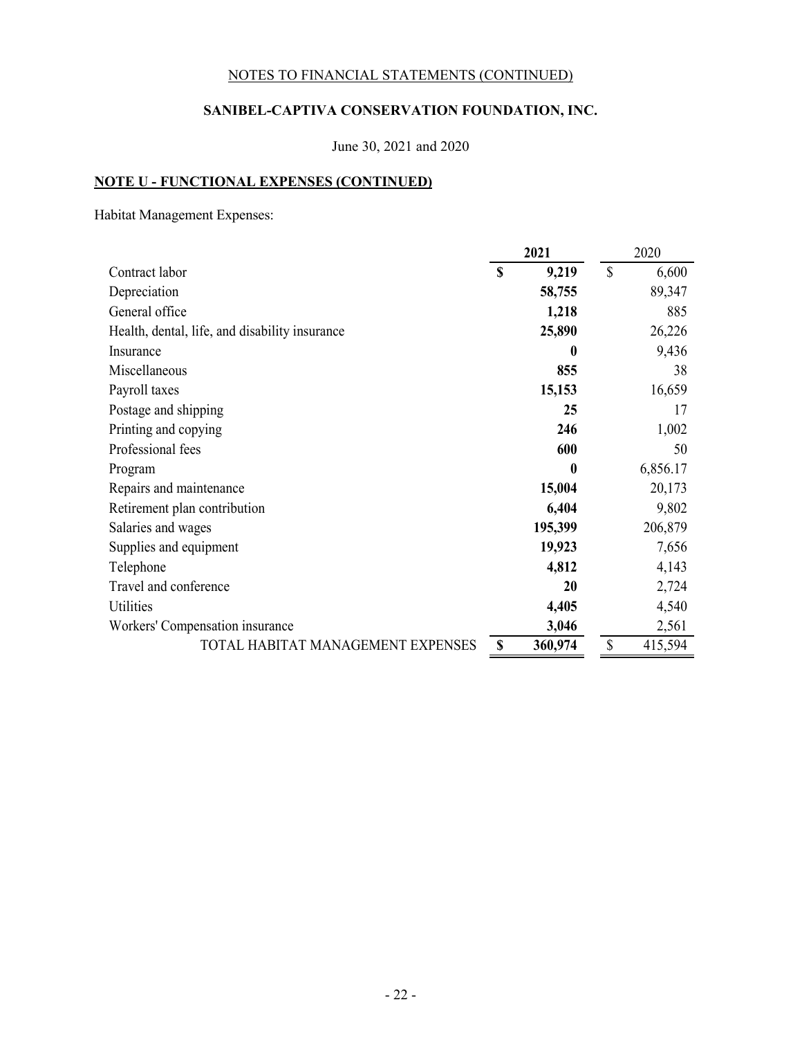# **SANIBEL-CAPTIVA CONSERVATION FOUNDATION, INC.**

June 30, 2021 and 2020

## **NOTE U - FUNCTIONAL EXPENSES (CONTINUED)**

Habitat Management Expenses:

|                                                |          | 2021    | 2020          |
|------------------------------------------------|----------|---------|---------------|
| Contract labor                                 | <b>S</b> | 9,219   | \$<br>6,600   |
| Depreciation                                   |          | 58,755  | 89,347        |
| General office                                 |          | 1,218   | 885           |
| Health, dental, life, and disability insurance |          | 25,890  | 26,226        |
| Insurance                                      |          | 0       | 9,436         |
| Miscellaneous                                  |          | 855     | 38            |
| Payroll taxes                                  |          | 15,153  | 16,659        |
| Postage and shipping                           |          | 25      | 17            |
| Printing and copying                           |          | 246     | 1,002         |
| Professional fees                              |          | 600     | 50            |
| Program                                        |          | 0       | 6,856.17      |
| Repairs and maintenance                        |          | 15,004  | 20,173        |
| Retirement plan contribution                   |          | 6,404   | 9,802         |
| Salaries and wages                             |          | 195,399 | 206,879       |
| Supplies and equipment                         |          | 19,923  | 7,656         |
| Telephone                                      |          | 4,812   | 4,143         |
| Travel and conference                          |          | 20      | 2,724         |
| Utilities                                      |          | 4,405   | 4,540         |
| Workers' Compensation insurance                |          | 3,046   | 2,561         |
| TOTAL HABITAT MANAGEMENT EXPENSES              | <b>S</b> | 360,974 | \$<br>415,594 |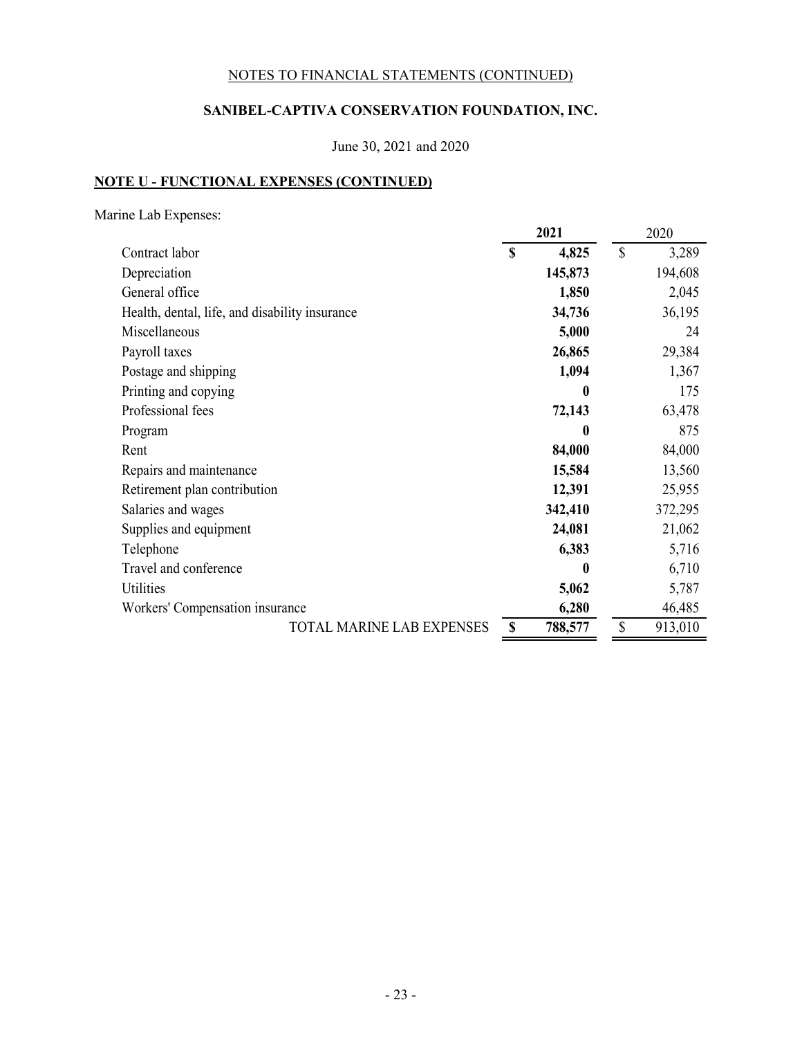# **SANIBEL-CAPTIVA CONSERVATION FOUNDATION, INC.**

June 30, 2021 and 2020

## **NOTE U - FUNCTIONAL EXPENSES (CONTINUED)**

|  |  |  | Marine Lab Expenses: |
|--|--|--|----------------------|
|--|--|--|----------------------|

|                                                | 2021     |         |               | 2020    |  |
|------------------------------------------------|----------|---------|---------------|---------|--|
| Contract labor                                 | <b>S</b> | 4,825   | $\mathcal{S}$ | 3,289   |  |
| Depreciation                                   |          | 145,873 |               | 194,608 |  |
| General office                                 |          | 1,850   |               | 2,045   |  |
| Health, dental, life, and disability insurance |          | 34,736  |               | 36,195  |  |
| Miscellaneous                                  |          | 5,000   |               | 24      |  |
| Payroll taxes                                  |          | 26,865  |               | 29,384  |  |
| Postage and shipping                           |          | 1,094   |               | 1,367   |  |
| Printing and copying                           |          | 0       |               | 175     |  |
| Professional fees                              |          | 72,143  |               | 63,478  |  |
| Program                                        |          |         |               | 875     |  |
| Rent                                           |          | 84,000  |               | 84,000  |  |
| Repairs and maintenance                        |          | 15,584  |               | 13,560  |  |
| Retirement plan contribution                   |          | 12,391  |               | 25,955  |  |
| Salaries and wages                             |          | 342,410 |               | 372,295 |  |
| Supplies and equipment                         |          | 24,081  |               | 21,062  |  |
| Telephone                                      |          | 6,383   |               | 5,716   |  |
| Travel and conference                          |          | 0       |               | 6,710   |  |
| Utilities                                      |          | 5,062   |               | 5,787   |  |
| Workers' Compensation insurance                |          | 6,280   |               | 46,485  |  |
| TOTAL MARINE LAB EXPENSES                      | \$       | 788,577 | \$            | 913,010 |  |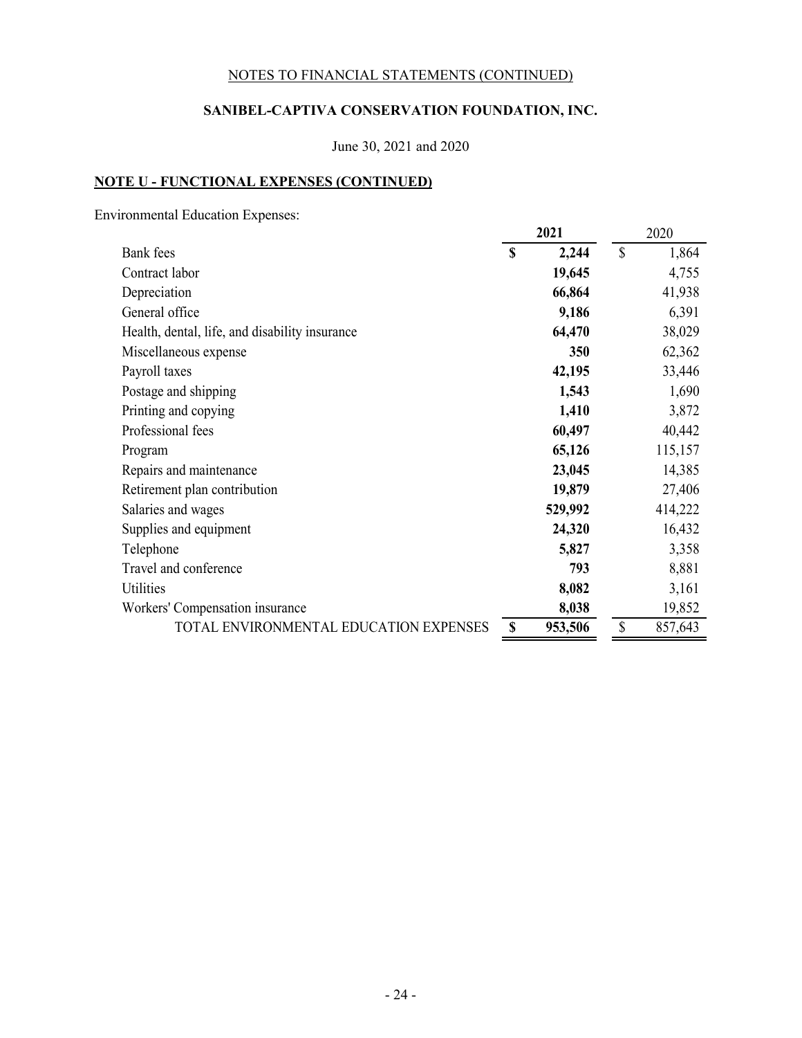# **SANIBEL-CAPTIVA CONSERVATION FOUNDATION, INC.**

June 30, 2021 and 2020

## **NOTE U - FUNCTIONAL EXPENSES (CONTINUED)**

Environmental Education Expenses:

|                                                |               | 2021    |             | 2020    |
|------------------------------------------------|---------------|---------|-------------|---------|
| <b>Bank</b> fees                               | <sup>\$</sup> | 2,244   | $\mathbf S$ | 1,864   |
| Contract labor                                 |               | 19,645  |             | 4,755   |
| Depreciation                                   |               | 66,864  |             | 41,938  |
| General office                                 |               | 9,186   |             | 6,391   |
| Health, dental, life, and disability insurance |               | 64,470  |             | 38,029  |
| Miscellaneous expense                          |               | 350     |             | 62,362  |
| Payroll taxes                                  |               | 42,195  |             | 33,446  |
| Postage and shipping                           |               | 1,543   |             | 1,690   |
| Printing and copying                           |               | 1,410   |             | 3,872   |
| Professional fees                              |               | 60,497  |             | 40,442  |
| Program                                        |               | 65,126  |             | 115,157 |
| Repairs and maintenance                        |               | 23,045  |             | 14,385  |
| Retirement plan contribution                   |               | 19,879  |             | 27,406  |
| Salaries and wages                             |               | 529,992 |             | 414,222 |
| Supplies and equipment                         |               | 24,320  |             | 16,432  |
| Telephone                                      |               | 5,827   |             | 3,358   |
| Travel and conference                          |               | 793     |             | 8,881   |
| Utilities                                      |               | 8,082   |             | 3,161   |
| Workers' Compensation insurance                |               | 8,038   |             | 19,852  |
| TOTAL ENVIRONMENTAL EDUCATION EXPENSES         | \$            | 953,506 | \$          | 857,643 |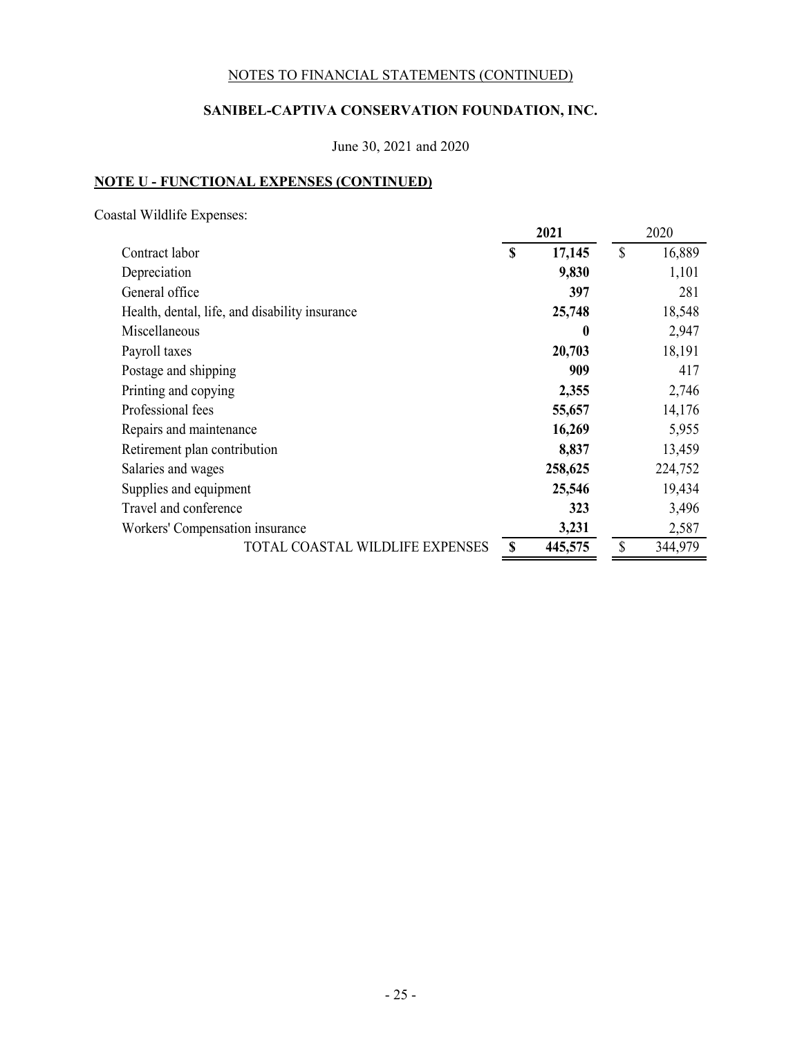# **SANIBEL-CAPTIVA CONSERVATION FOUNDATION, INC.**

June 30, 2021 and 2020

## **NOTE U - FUNCTIONAL EXPENSES (CONTINUED)**

Coastal Wildlife Expenses:

|                                                | 2021 |         | 2020          |         |
|------------------------------------------------|------|---------|---------------|---------|
| Contract labor                                 | S    | 17,145  | $\mathcal{S}$ | 16,889  |
| Depreciation                                   |      | 9,830   |               | 1,101   |
| General office                                 |      | 397     |               | 281     |
| Health, dental, life, and disability insurance |      | 25,748  |               | 18,548  |
| Miscellaneous                                  |      | 0       |               | 2,947   |
| Payroll taxes                                  |      | 20,703  |               | 18,191  |
| Postage and shipping                           |      | 909     |               | 417     |
| Printing and copying                           |      | 2,355   |               | 2,746   |
| Professional fees                              |      | 55,657  |               | 14,176  |
| Repairs and maintenance                        |      | 16,269  |               | 5,955   |
| Retirement plan contribution                   |      | 8,837   |               | 13,459  |
| Salaries and wages                             |      | 258,625 |               | 224,752 |
| Supplies and equipment                         |      | 25,546  |               | 19,434  |
| Travel and conference                          |      | 323     |               | 3,496   |
| Workers' Compensation insurance                |      | 3,231   |               | 2,587   |
| TOTAL COASTAL WILDLIFE EXPENSES                | S    | 445,575 | \$            | 344,979 |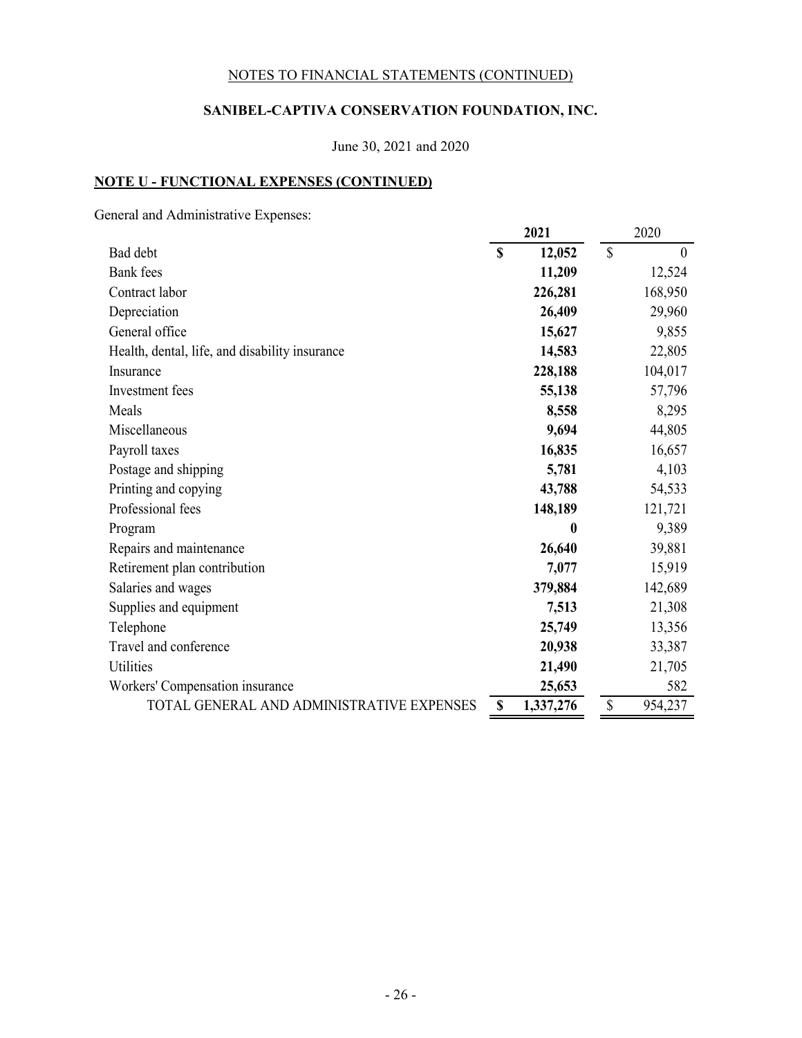# **SANIBEL-CAPTIVA CONSERVATION FOUNDATION, INC.**

June 30, 2021 and 2020

## **NOTE U - FUNCTIONAL EXPENSES (CONTINUED)**

General and Administrative Expenses:

|                                                | 2021        |           | 2020 |          |
|------------------------------------------------|-------------|-----------|------|----------|
| Bad debt                                       | $\mathbf S$ | 12,052    | \$   | $\theta$ |
| <b>Bank</b> fees                               |             | 11,209    |      | 12,524   |
| Contract labor                                 |             | 226,281   |      | 168,950  |
| Depreciation                                   |             | 26,409    |      | 29,960   |
| General office                                 |             | 15,627    |      | 9,855    |
| Health, dental, life, and disability insurance |             | 14,583    |      | 22,805   |
| Insurance                                      |             | 228,188   |      | 104,017  |
| Investment fees                                |             | 55,138    |      | 57,796   |
| Meals                                          |             | 8,558     |      | 8,295    |
| Miscellaneous                                  |             | 9,694     |      | 44,805   |
| Payroll taxes                                  |             | 16,835    |      | 16,657   |
| Postage and shipping                           |             | 5,781     |      | 4,103    |
| Printing and copying                           |             | 43,788    |      | 54,533   |
| Professional fees                              |             | 148,189   |      | 121,721  |
| Program                                        |             | 0         |      | 9,389    |
| Repairs and maintenance                        |             | 26,640    |      | 39,881   |
| Retirement plan contribution                   |             | 7,077     |      | 15,919   |
| Salaries and wages                             |             | 379,884   |      | 142,689  |
| Supplies and equipment                         |             | 7,513     |      | 21,308   |
| Telephone                                      |             | 25,749    |      | 13,356   |
| Travel and conference                          |             | 20,938    |      | 33,387   |
| Utilities                                      |             | 21,490    |      | 21,705   |
| Workers' Compensation insurance                |             | 25,653    |      | 582      |
| TOTAL GENERAL AND ADMINISTRATIVE EXPENSES      | \$          | 1,337,276 | \$   | 954,237  |